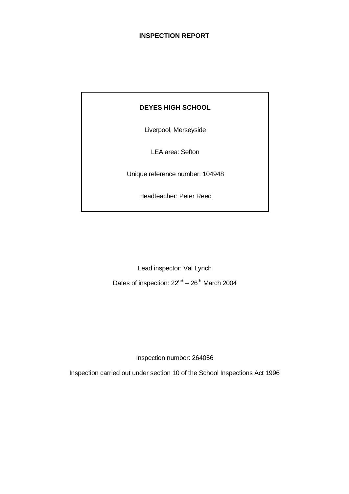# **INSPECTION REPORT**

# **DEYES HIGH SCHOOL**

Liverpool, Merseyside

LEA area: Sefton

Unique reference number: 104948

Headteacher: Peter Reed

Lead inspector: Val Lynch Dates of inspection:  $22<sup>nd</sup> - 26<sup>th</sup>$  March 2004

Inspection number: 264056

Inspection carried out under section 10 of the School Inspections Act 1996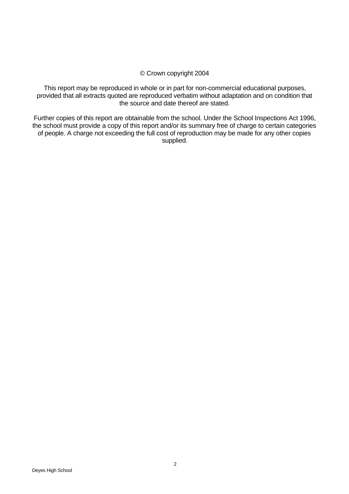# © Crown copyright 2004

This report may be reproduced in whole or in part for non-commercial educational purposes, provided that all extracts quoted are reproduced verbatim without adaptation and on condition that the source and date thereof are stated.

Further copies of this report are obtainable from the school. Under the School Inspections Act 1996, the school must provide a copy of this report and/or its summary free of charge to certain categories of people. A charge not exceeding the full cost of reproduction may be made for any other copies supplied.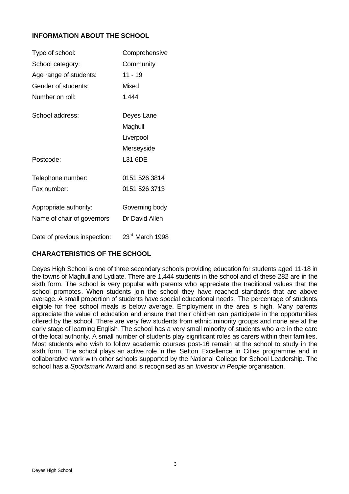# **INFORMATION ABOUT THE SCHOOL**

| Type of school:              | Comprehensive               |
|------------------------------|-----------------------------|
| School category:             | Community                   |
| Age range of students:       | $11 - 19$                   |
| Gender of students:          | <b>Mixed</b>                |
| Number on roll:              | 1,444                       |
| School address:              | Deyes Lane                  |
|                              | Maghull                     |
|                              | Liverpool                   |
|                              | Merseyside                  |
| Postcode:                    | L31 6DE                     |
| Telephone number:            | 0151 526 3814               |
| Fax number:                  | 0151 526 3713               |
| Appropriate authority:       | Governing body              |
| Name of chair of governors   | Dr David Allen              |
| Date of previous inspection: | 23 <sup>rd</sup> March 1998 |

# **CHARACTERISTICS OF THE SCHOOL**

Deyes High School is one of three secondary schools providing education for students aged 11-18 in the towns of Maghull and Lydiate. There are 1,444 students in the school and of these 282 are in the sixth form. The school is very popular with parents who appreciate the traditional values that the school promotes. When students join the school they have reached standards that are above average. A small proportion of students have special educational needs. The percentage of students eligible for free school meals is below average. Employment in the area is high. Many parents appreciate the value of education and ensure that their children can participate in the opportunities offered by the school. There are very few students from ethnic minority groups and none are at the early stage of learning English. The school has a very small minority of students who are in the care of the local authority. A small number of students play significant roles as carers within their families. Most students who wish to follow academic courses post-16 remain at the school to study in the sixth form. The school plays an active role in the Sefton Excellence in Cities programme and in collaborative work with other schools supported by the National College for School Leadership. The school has a *Sportsmark* Award and is recognised as an *Investor in People* organisation.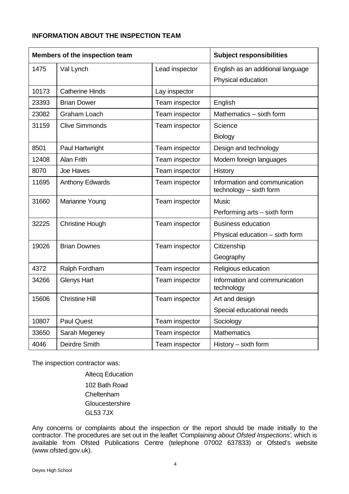# **INFORMATION ABOUT THE INSPECTION TEAM**

| Members of the inspection team |                        |                | <b>Subject responsibilities</b>                          |
|--------------------------------|------------------------|----------------|----------------------------------------------------------|
| 1475                           | Val Lynch              | Lead inspector | English as an additional language                        |
|                                |                        |                | Physical education                                       |
| 10173                          | <b>Catherine Hinds</b> | Lay inspector  |                                                          |
| 23393                          | <b>Brian Dower</b>     | Team inspector | English                                                  |
| 23082                          | <b>Graham Loach</b>    | Team inspector | Mathematics - sixth form                                 |
| 31159                          | <b>Clive Simmonds</b>  | Team inspector | Science                                                  |
|                                |                        |                | <b>Biology</b>                                           |
| 8501                           | Paul Hartwright        | Team inspector | Design and technology                                    |
| 12408                          | Alan Frith             | Team inspector | Modern foreign languages                                 |
| 8070                           | Joe Haves              | Team inspector | History                                                  |
| 11695                          | <b>Anthony Edwards</b> | Team inspector | Information and communication<br>technology - sixth form |
| 31660                          | Marianne Young         | Team inspector | <b>Music</b>                                             |
|                                |                        |                | Performing arts - sixth form                             |
| 32225                          | <b>Christine Hough</b> | Team inspector | <b>Business education</b>                                |
|                                |                        |                | Physical education - sixth form                          |
| 19026                          | <b>Brian Downes</b>    | Team inspector | Citizenship                                              |
|                                |                        |                | Geography                                                |
| 4372                           | Ralph Fordham          | Team inspector | Religious education                                      |
| 34266                          | <b>Glenys Hart</b>     | Team inspector | Information and communication<br>technology              |
| 15606                          | <b>Christine Hill</b>  | Team inspector | Art and design                                           |
|                                |                        |                | Special educational needs                                |
| 10807                          | <b>Paul Quest</b>      | Team inspector | Sociology                                                |
| 33650                          | Sarah Megeney          | Team inspector | <b>Mathematics</b>                                       |
| 4046                           | Deirdre Smith          | Team inspector | History - sixth form                                     |

The inspection contractor was:

Altecq Education 102 Bath Road **Cheltenham Gloucestershire** GL53 7JX

Any concerns or complaints about the inspection or the report should be made initially to the contractor. The procedures are set out in the leaflet *'Complaining about Ofsted Inspections'*, which is available from Ofsted Publications Centre (telephone 07002 637833) or Ofsted's website (www.ofsted.gov.uk).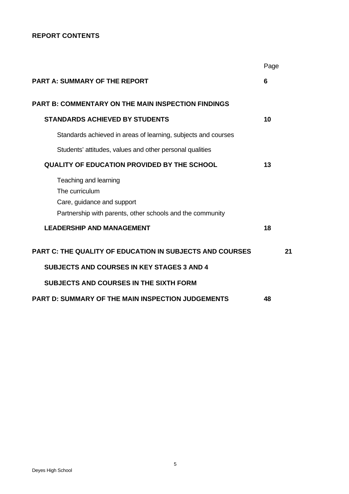# **REPORT CONTENTS**

|                                                                                                                                    | Page |
|------------------------------------------------------------------------------------------------------------------------------------|------|
| <b>PART A: SUMMARY OF THE REPORT</b>                                                                                               | 6    |
| <b>PART B: COMMENTARY ON THE MAIN INSPECTION FINDINGS</b>                                                                          |      |
| <b>STANDARDS ACHIEVED BY STUDENTS</b>                                                                                              | 10   |
| Standards achieved in areas of learning, subjects and courses                                                                      |      |
| Students' attitudes, values and other personal qualities                                                                           |      |
| <b>QUALITY OF EDUCATION PROVIDED BY THE SCHOOL</b>                                                                                 | 13   |
| Teaching and learning<br>The curriculum<br>Care, guidance and support<br>Partnership with parents, other schools and the community |      |
| <b>LEADERSHIP AND MANAGEMENT</b>                                                                                                   | 18   |
| <b>PART C: THE QUALITY OF EDUCATION IN SUBJECTS AND COURSES</b>                                                                    | 21   |
| <b>SUBJECTS AND COURSES IN KEY STAGES 3 AND 4</b>                                                                                  |      |
| <b>SUBJECTS AND COURSES IN THE SIXTH FORM</b>                                                                                      |      |
| <b>PART D: SUMMARY OF THE MAIN INSPECTION JUDGEMENTS</b>                                                                           | 48   |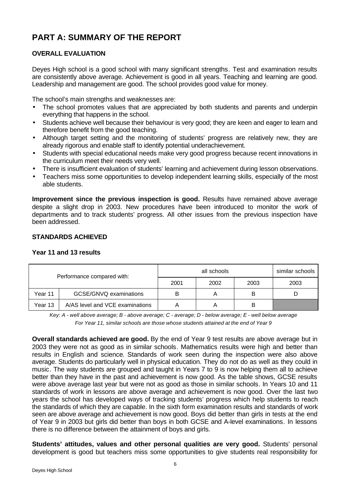# **PART A: SUMMARY OF THE REPORT**

# **OVERALL EVALUATION**

Deyes High school is a good school with many significant strengths. Test and examination results are consistently above average. Achievement is good in all years. Teaching and learning are good. Leadership and management are good. The school provides good value for money.

The school's main strengths and weaknesses are:

- The school promotes values that are appreciated by both students and parents and underpin everything that happens in the school.
- Students achieve well because their behaviour is very good; they are keen and eager to learn and therefore benefit from the good teaching.
- Although target setting and the monitoring of students' progress are relatively new, they are already rigorous and enable staff to identify potential underachievement.
- Students with special educational needs make very good progress because recent innovations in the curriculum meet their needs very well.
- There is insufficient evaluation of students' learning and achievement during lesson observations.
- Teachers miss some opportunities to develop independent learning skills, especially of the most able students.

**Improvement since the previous inspection is good.** Results have remained above average despite a slight drop in 2003. New procedures have been introduced to monitor the work of departments and to track students' progress. All other issues from the previous inspection have been addressed.

# **STANDARDS ACHIEVED**

#### **Year 11 and 13 results**

| Performance compared with: |                                 |      | similar schools |      |      |
|----------------------------|---------------------------------|------|-----------------|------|------|
|                            |                                 | 2001 | 2002            | 2003 | 2003 |
| Year 11                    | GCSE/GNVQ examinations          | B    |                 | В    |      |
| Year 13                    | A/AS level and VCE examinations |      |                 | в    |      |

*Key: A - well above average; B - above average; C - average; D - below average; E - well below average For Year 11, similar schools are those whose students attained at the end of Year 9*

**Overall standards achieved are good.** By the end of Year 9 test results are above average but in 2003 they were not as good as in similar schools. Mathematics results were high and better than results in English and science. Standards of work seen during the inspection were also above average. Students do particularly well in physical education. They do not do as well as they could in music. The way students are grouped and taught in Years 7 to 9 is now helping them all to achieve better than they have in the past and achievement is now good. As the table shows, GCSE results were above average last year but were not as good as those in similar schools. In Years 10 and 11 standards of work in lessons are above average and achievement is now good. Over the last two years the school has developed ways of tracking students' progress which help students to reach the standards of which they are capable. In the sixth form examination results and standards of work seen are above average and achievement is now good. Boys did better than girls in tests at the end of Year 9 in 2003 but girls did better than boys in both GCSE and A-level examinations. In lessons there is no difference between the attainment of boys and girls.

**Students' attitudes, values and other personal qualities are very good.** Students' personal development is good but teachers miss some opportunities to give students real responsibility for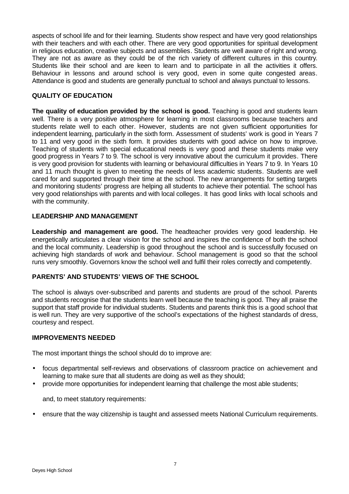aspects of school life and for their learning. Students show respect and have very good relationships with their teachers and with each other. There are very good opportunities for spiritual development in religious education, creative subjects and assemblies. Students are well aware of right and wrong. They are not as aware as they could be of the rich variety of different cultures in this country. Students like their school and are keen to learn and to participate in all the activities it offers. Behaviour in lessons and around school is very good, even in some quite congested areas. Attendance is good and students are generally punctual to school and always punctual to lessons.

# **QUALITY OF EDUCATION**

The quality of education provided by the school is good. Teaching is good and students learn well. There is a very positive atmosphere for learning in most classrooms because teachers and students relate well to each other. However, students are not given sufficient opportunities for independent learning, particularly in the sixth form. Assessment of students' work is good in Years 7 to 11 and very good in the sixth form. It provides students with good advice on how to improve. Teaching of students with special educational needs is very good and these students make very good progress in Years 7 to 9. The school is very innovative about the curriculum it provides. There is very good provision for students with learning or behavioural difficulties in Years 7 to 9. In Years 10 and 11 much thought is given to meeting the needs of less academic students. Students are well cared for and supported through their time at the school. The new arrangements for setting targets and monitoring students' progress are helping all students to achieve their potential. The school has very good relationships with parents and with local colleges. It has good links with local schools and with the community.

# **LEADERSHIP AND MANAGEMENT**

**Leadership and management are good.** The headteacher provides very good leadership. He energetically articulates a clear vision for the school and inspires the confidence of both the school and the local community. Leadership is good throughout the school and is successfully focused on achieving high standards of work and behaviour. School management is good so that the school runs very smoothly. Governors know the school well and fulfil their roles correctly and competently.

#### **PARENTS' AND STUDENTS' VIEWS OF THE SCHOOL**

The school is always over-subscribed and parents and students are proud of the school. Parents and students recognise that the students learn well because the teaching is good. They all praise the support that staff provide for individual students. Students and parents think this is a good school that is well run. They are very supportive of the school's expectations of the highest standards of dress, courtesy and respect.

#### **IMPROVEMENTS NEEDED**

The most important things the school should do to improve are:

- focus departmental self-reviews and observations of classroom practice on achievement and learning to make sure that all students are doing as well as they should;
- provide more opportunities for independent learning that challenge the most able students;

and, to meet statutory requirements:

• ensure that the way citizenship is taught and assessed meets National Curriculum requirements.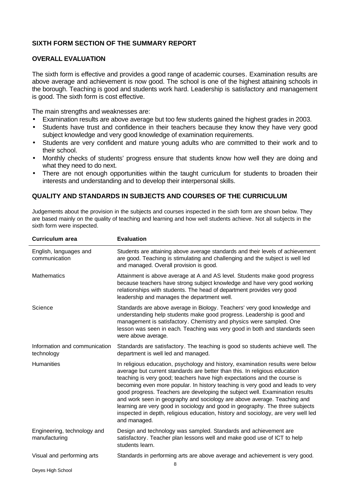# **SIXTH FORM SECTION OF THE SUMMARY REPORT**

#### **OVERALL EVALUATION**

The sixth form is effective and provides a good range of academic courses. Examination results are above average and achievement is now good. The school is one of the highest attaining schools in the borough. Teaching is good and students work hard. Leadership is satisfactory and management is good. The sixth form is cost effective.

The main strengths and weaknesses are:

- Examination results are above average but too few students gained the highest grades in 2003.
- Students have trust and confidence in their teachers because they know they have very good subject knowledge and very good knowledge of examination requirements.
- Students are very confident and mature young adults who are committed to their work and to their school.
- Monthly checks of students' progress ensure that students know how well they are doing and what they need to do next.
- There are not enough opportunities within the taught curriculum for students to broaden their interests and understanding and to develop their interpersonal skills.

# **QUALITY AND STANDARDS IN SUBJECTS AND COURSES OF THE CURRICULUM**

Judgements about the provision in the subjects and courses inspected in the sixth form are shown below. They are based mainly on the quality of teaching and learning and how well students achieve. Not all subjects in the sixth form were inspected.

| <b>Curriculum area</b>                       | <b>Evaluation</b>                                                                                                                                                                                                                                                                                                                                                                                                                                                                                                                                                                                                                                                            |  |  |
|----------------------------------------------|------------------------------------------------------------------------------------------------------------------------------------------------------------------------------------------------------------------------------------------------------------------------------------------------------------------------------------------------------------------------------------------------------------------------------------------------------------------------------------------------------------------------------------------------------------------------------------------------------------------------------------------------------------------------------|--|--|
| English, languages and<br>communication      | Students are attaining above average standards and their levels of achievement<br>are good. Teaching is stimulating and challenging and the subject is well led<br>and managed. Overall provision is good.                                                                                                                                                                                                                                                                                                                                                                                                                                                                   |  |  |
| <b>Mathematics</b>                           | Attainment is above average at A and AS level. Students make good progress<br>because teachers have strong subject knowledge and have very good working<br>relationships with students. The head of department provides very good<br>leadership and manages the department well.                                                                                                                                                                                                                                                                                                                                                                                             |  |  |
| Science                                      | Standards are above average in Biology. Teachers' very good knowledge and<br>understanding help students make good progress. Leadership is good and<br>management is satisfactory. Chemistry and physics were sampled. One<br>lesson was seen in each. Teaching was very good in both and standards seen<br>were above average.                                                                                                                                                                                                                                                                                                                                              |  |  |
| Information and communication<br>technology  | Standards are satisfactory. The teaching is good so students achieve well. The<br>department is well led and managed.                                                                                                                                                                                                                                                                                                                                                                                                                                                                                                                                                        |  |  |
| Humanities                                   | In religious education, psychology and history, examination results were below<br>average but current standards are better than this. In religious education<br>teaching is very good; teachers have high expectations and the course is<br>becoming even more popular. In history teaching is very good and leads to very<br>good progress. Teachers are developing the subject well. Examination results<br>and work seen in geography and sociology are above average. Teaching and<br>learning are very good in sociology and good in geography. The three subjects<br>inspected in depth, religious education, history and sociology, are very well led<br>and managed. |  |  |
| Engineering, technology and<br>manufacturing | Design and technology was sampled. Standards and achievement are<br>satisfactory. Teacher plan lessons well and make good use of ICT to help<br>students learn.                                                                                                                                                                                                                                                                                                                                                                                                                                                                                                              |  |  |
| Visual and performing arts                   | Standards in performing arts are above average and achievement is very good.<br>8                                                                                                                                                                                                                                                                                                                                                                                                                                                                                                                                                                                            |  |  |
|                                              |                                                                                                                                                                                                                                                                                                                                                                                                                                                                                                                                                                                                                                                                              |  |  |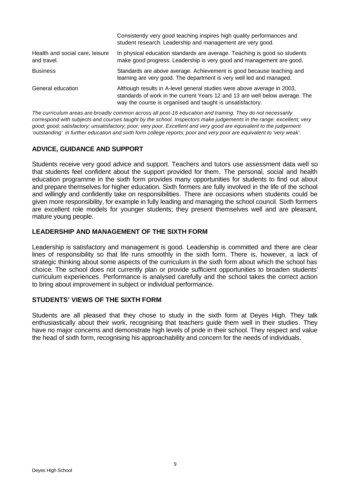|                                                | Consistently very good teaching inspires high quality performances and<br>student research. Leadership and management are very good.                                                                                 |  |  |  |
|------------------------------------------------|----------------------------------------------------------------------------------------------------------------------------------------------------------------------------------------------------------------------|--|--|--|
| Health and social care, leisure<br>and travel. | In physical education standards are average. Teaching is good so students<br>make good progress. Leadership is very good and management are good.                                                                    |  |  |  |
| <b>Business</b>                                | Standards are above average. Achievement is good because teaching and<br>learning are very good. The department is very well led and managed.                                                                        |  |  |  |
| General education                              | Although results in A-level general studies were above average in 2003,<br>standards of work in the current Years 12 and 13 are well below average. The<br>way the course is organised and taught is unsatisfactory. |  |  |  |

*The curriculum areas are broadly common across all post-16 education and training. They do not necessarily correspond with subjects and courses taught by the school. Inspectors make judgements in the range: excellent; very good; good; satisfactory; unsatisfactory; poor; very poor. Excellent and very good are equivalent to the judgement 'outstanding' in further education and sixth form college reports; poor and very poor are equivalent to 'very weak'.*

#### **ADVICE, GUIDANCE AND SUPPORT**

Students receive very good advice and support. Teachers and tutors use assessment data well so that students feel confident about the support provided for them. The personal, social and health education programme in the sixth form provides many opportunities for students to find out about and prepare themselves for higher education. Sixth formers are fully involved in the life of the school and willingly and confidently take on responsibilities. There are occasions when students could be given more responsibility, for example in fully leading and managing the school council. Sixth formers are excellent role models for younger students; they present themselves well and are pleasant, mature young people.

# **LEADERSHIP AND MANAGEMENT OF THE SIXTH FORM**

Leadership is satisfactory and management is good. Leadership is committed and there are clear lines of responsibility so that life runs smoothly in the sixth form. There is, however, a lack of strategic thinking about some aspects of the curriculum in the sixth form about which the school has choice. The school does not currently plan or provide sufficient opportunities to broaden students' curriculum experiences. Performance is analysed carefully and the school takes the correct action to bring about improvement in subject or individual performance.

# **STUDENTS' VIEWS OF THE SIXTH FORM**

Students are all pleased that they chose to study in the sixth form at Deyes High. They talk enthusiastically about their work, recognising that teachers guide them well in their studies. They have no major concerns and demonstrate high levels of pride in their school. They respect and value the head of sixth form, recognising his approachability and concern for the needs of individuals.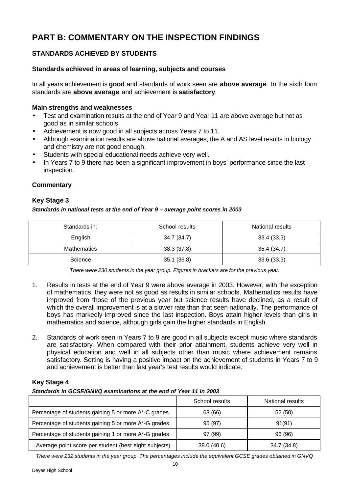# **PART B: COMMENTARY ON THE INSPECTION FINDINGS**

# **STANDARDS ACHIEVED BY STUDENTS**

## **Standards achieved in areas of learning, subjects and courses**

In all years achievement is **good** and standards of work seen are **above average**. In the sixth form standards are **above average** and achievement is **satisfactory**.

#### **Main strengths and weaknesses**

- Test and examination results at the end of Year 9 and Year 11 are above average but not as good as in similar schools.
- Achievement is now good in all subjects across Years 7 to 11.
- Although examination results are above national averages, the A and AS level results in biology and chemistry are not good enough.
- Students with special educational needs achieve very well.
- In Years 7 to 9 there has been a significant improvement in boys' performance since the last inspection.

#### **Commentary**

#### **Key Stage 3**

#### *Standards in national tests at the end of Year 9 – average point scores in 2003*

| Standards in:      | School results | National results |  |
|--------------------|----------------|------------------|--|
| English            | 34.7 (34.7)    | 33.4(33.3)       |  |
| <b>Mathematics</b> | 38.3(37.8)     | 35.4 (34.7)      |  |
| Science            | 35.1(36.8)     | 33.6(33.3)       |  |

*There were 230 students in the year group. Figures in brackets are for the previous year.*

- 1. Results in tests at the end of Year 9 were above average in 2003. However, with the exception of mathematics, they were not as good as results in similar schools. Mathematics results have improved from those of the previous year but science results have declined, as a result of which the overall improvement is at a slower rate than that seen nationally. The performance of boys has markedly improved since the last inspection. Boys attain higher levels than girls in mathematics and science, although girls gain the higher standards in English.
- 2. Standards of work seen in Years 7 to 9 are good in all subjects except music where standards are satisfactory. When compared with their prior attainment, students achieve very well in physical education and well in all subjects other than music where achievement remains satisfactory. Setting is having a positive impact on the achievement of students in Years 7 to 9 and achievement is better than last year's test results would indicate.

#### **Key Stage 4**

#### *Standards in GCSE/GNVQ examinations at the end of Year 11 in 2003*

|                                                       | School results | National results |
|-------------------------------------------------------|----------------|------------------|
| Percentage of students gaining 5 or more A*-C grades  | 63 (66)        | 52 (50)          |
| Percentage of students gaining 5 or more A*-G grades  | 95 (97)        | 91(91)           |
| Percentage of students gaining 1 or more A*-G grades  | 97(99)         | 96 (96)          |
| Average point score per student (best eight subjects) | 38.0 (40.6)    | 34.7 (34.8)      |

*There were 232 students in the year group. The percentages include the equivalent GCSE grades obtained in GNVQ*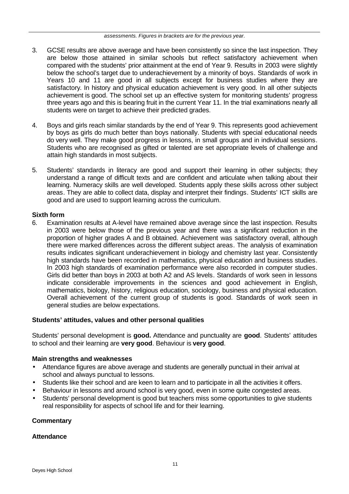- 3. GCSE results are above average and have been consistently so since the last inspection. They are below those attained in similar schools but reflect satisfactory achievement when compared with the students' prior attainment at the end of Year 9. Results in 2003 were slightly below the school's target due to underachievement by a minority of boys. Standards of work in Years 10 and 11 are good in all subjects except for business studies where they are satisfactory. In history and physical education achievement is very good. In all other subjects achievement is good. The school set up an effective system for monitoring students' progress three years ago and this is bearing fruit in the current Year 11. In the trial examinations nearly all students were on target to achieve their predicted grades.
- 4. Boys and girls reach similar standards by the end of Year 9. This represents good achievement by boys as girls do much better than boys nationally. Students with special educational needs do very well. They make good progress in lessons, in small groups and in individual sessions. Students who are recognised as gifted or talented are set appropriate levels of challenge and attain high standards in most subjects.
- 5. Students' standards in literacy are good and support their learning in other subjects; they understand a range of difficult texts and are confident and articulate when talking about their learning. Numeracy skills are well developed. Students apply these skills across other subject areas. They are able to collect data, display and interpret their findings. Students' ICT skills are good and are used to support learning across the curriculum.

# **Sixth form**

6. Examination results at A-level have remained above average since the last inspection. Results in 2003 were below those of the previous year and there was a significant reduction in the proportion of higher grades A and B obtained. Achievement was satisfactory overall, although there were marked differences across the different subject areas. The analysis of examination results indicates significant underachievement in biology and chemistry last year. Consistently high standards have been recorded in mathematics, physical education and business studies. In 2003 high standards of examination performance were also recorded in computer studies. Girls did better than boys in 2003 at both A2 and AS levels. Standards of work seen in lessons indicate considerable improvements in the sciences and good achievement in English, mathematics, biology, history, religious education, sociology, business and physical education. Overall achievement of the current group of students is good. Standards of work seen in general studies are below expectations.

#### **Students' attitudes, values and other personal qualities**

Students' personal development is **good.** Attendance and punctuality are **good**. Students' attitudes to school and their learning are **very good**. Behaviour is **very good**.

#### **Main strengths and weaknesses**

- Attendance figures are above average and students are generally punctual in their arrival at school and always punctual to lessons.
- Students like their school and are keen to learn and to participate in all the activities it offers.
- Behaviour in lessons and around school is very good, even in some quite congested areas.
- Students' personal development is good but teachers miss some opportunities to give students real responsibility for aspects of school life and for their learning.

# **Commentary**

#### **Attendance**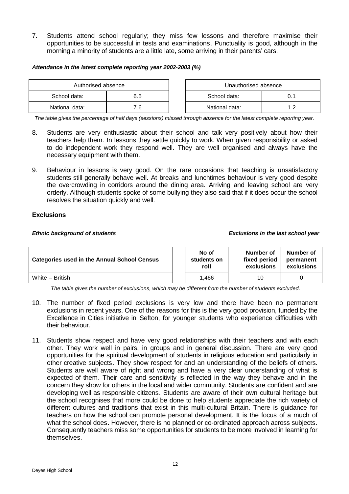7. Students attend school regularly; they miss few lessons and therefore maximise their opportunities to be successful in tests and examinations. Punctuality is good, although in the morning a minority of students are a little late, some arriving in their parents' cars.

#### *Attendance in the latest complete reporting year 2002-2003 (%)*

| Authorised absence |     |  | Unauthorised absence |  |
|--------------------|-----|--|----------------------|--|
| School data:       | 6.5 |  | School data:         |  |
| National data:     | 7.6 |  | National data:       |  |

*The table gives the percentage of half days (sessions) missed through absence for the latest complete reporting year.*

- 8. Students are very enthusiastic about their school and talk very positively about how their teachers help them. In lessons they settle quickly to work. When given responsibility or asked to do independent work they respond well. They are well organised and always have the necessary equipment with them.
- 9. Behaviour in lessons is very good. On the rare occasions that teaching is unsatisfactory students still generally behave well. At breaks and lunchtimes behaviour is very good despite the overcrowding in corridors around the dining area. Arriving and leaving school are very orderly. Although students spoke of some bullying they also said that if it does occur the school resolves the situation quickly and well.

#### **Exclusions**

#### *Ethnic background of students Exclusions in the last school year*

| <b>Categories used in the Annual School Census</b> |  | No of<br>students on<br>roll | Number of<br>fixed period<br>exclusions | Number of<br>permanent<br>exclusions |
|----------------------------------------------------|--|------------------------------|-----------------------------------------|--------------------------------------|
| White - British                                    |  | .466                         | 10                                      |                                      |

*The table gives the number of exclusions, which may be different from the number of students excluded.*

- 10. The number of fixed period exclusions is very low and there have been no permanent exclusions in recent years. One of the reasons for this is the very good provision, funded by the Excellence in Cities initiative in Sefton, for younger students who experience difficulties with their behaviour.
- 11. Students show respect and have very good relationships with their teachers and with each other. They work well in pairs, in groups and in general discussion. There are very good opportunities for the spiritual development of students in religious education and particularly in other creative subjects. They show respect for and an understanding of the beliefs of others. Students are well aware of right and wrong and have a very clear understanding of what is expected of them. Their care and sensitivity is reflected in the way they behave and in the concern they show for others in the local and wider community. Students are confident and are developing well as responsible citizens. Students are aware of their own cultural heritage but the school recognises that more could be done to help students appreciate the rich variety of different cultures and traditions that exist in this multi-cultural Britain. There is guidance for teachers on how the school can promote personal development. It is the focus of a much of what the school does. However, there is no planned or co-ordinated approach across subjects. Consequently teachers miss some opportunities for students to be more involved in learning for themselves.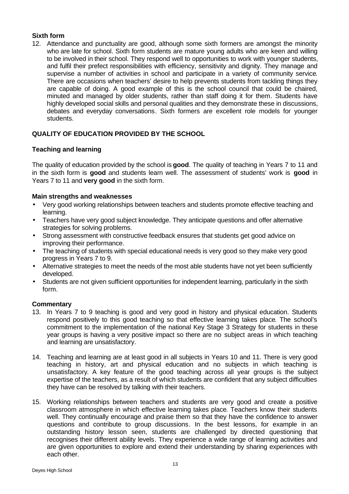# **Sixth form**

12. Attendance and punctuality are good, although some sixth formers are amongst the minority who are late for school. Sixth form students are mature young adults who are keen and willing to be involved in their school. They respond well to opportunities to work with younger students, and fulfil their prefect responsibilities with efficiency, sensitivity and dignity. They manage and supervise a number of activities in school and participate in a variety of community service. There are occasions when teachers' desire to help prevents students from tackling things they are capable of doing. A good example of this is the school council that could be chaired, minuted and managed by older students, rather than staff doing it for them. Students have highly developed social skills and personal qualities and they demonstrate these in discussions, debates and everyday conversations. Sixth formers are excellent role models for younger students.

# **QUALITY OF EDUCATION PROVIDED BY THE SCHOOL**

# **Teaching and learning**

The quality of education provided by the school is **good**. The quality of teaching in Years 7 to 11 and in the sixth form is **good** and students learn well. The assessment of students' work is **good** in Years 7 to 11 and **very good** in the sixth form.

#### **Main strengths and weaknesses**

- Very good working relationships between teachers and students promote effective teaching and learning.
- Teachers have very good subject knowledge. They anticipate questions and offer alternative strategies for solving problems.
- Strong assessment with constructive feedback ensures that students get good advice on improving their performance.
- The teaching of students with special educational needs is very good so they make very good progress in Years 7 to 9.
- Alternative strategies to meet the needs of the most able students have not yet been sufficiently developed.
- Students are not given sufficient opportunities for independent learning, particularly in the sixth form.

- 13. In Years 7 to 9 teaching is good and very good in history and physical education. Students respond positively to this good teaching so that effective learning takes place. The school's commitment to the implementation of the national Key Stage 3 Strategy for students in these year groups is having a very positive impact so there are no subject areas in which teaching and learning are unsatisfactory.
- 14. Teaching and learning are at least good in all subjects in Years 10 and 11. There is very good teaching in history, art and physical education and no subjects in which teaching is unsatisfactory. A key feature of the good teaching across all year groups is the subject expertise of the teachers, as a result of which students are confident that any subject difficulties they have can be resolved by talking with their teachers.
- 15. Working relationships between teachers and students are very good and create a positive classroom atmosphere in which effective learning takes place. Teachers know their students well. They continually encourage and praise them so that they have the confidence to answer questions and contribute to group discussions. In the best lessons, for example in an outstanding history lesson seen, students are challenged by directed questioning that recognises their different ability levels. They experience a wide range of learning activities and are given opportunities to explore and extend their understanding by sharing experiences with each other.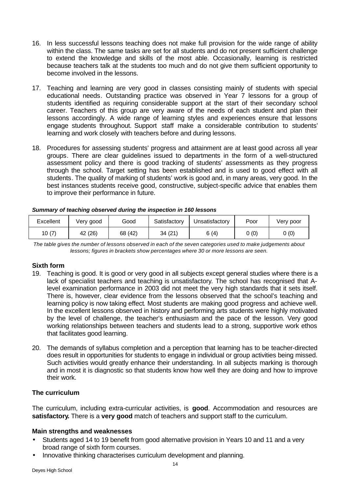- 16. In less successful lessons teaching does not make full provision for the wide range of ability within the class. The same tasks are set for all students and do not present sufficient challenge to extend the knowledge and skills of the most able. Occasionally, learning is restricted because teachers talk at the students too much and do not give them sufficient opportunity to become involved in the lessons.
- 17. Teaching and learning are very good in classes consisting mainly of students with special educational needs. Outstanding practice was observed in Year 7 lessons for a group of students identified as requiring considerable support at the start of their secondary school career. Teachers of this group are very aware of the needs of each student and plan their lessons accordingly. A wide range of learning styles and experiences ensure that lessons engage students throughout. Support staff make a considerable contribution to students' learning and work closely with teachers before and during lessons.
- 18. Procedures for assessing students' progress and attainment are at least good across all year groups. There are clear guidelines issued to departments in the form of a well-structured assessment policy and there is good tracking of students' assessments as they progress through the school. Target setting has been established and is used to good effect with all students. The quality of marking of students' work is good and, in many areas, very good. In the best instances students receive good, constructive, subject-specific advice that enables them to improve their performance in future.

| Excellent | Very good  | Good    | Satisfactory | Unsatisfactory | Poor | Verv poor |
|-----------|------------|---------|--------------|----------------|------|-----------|
| 10(7)     | (26)<br>42 | 68 (42) | 34 (21       | 6(4)           | 0(0) | 0(0)      |

|  |  | Summary of teaching observed during the inspection in 160 lessons |
|--|--|-------------------------------------------------------------------|
|  |  |                                                                   |

*The table gives the number of lessons observed in each of the seven categories used to make judgements about lessons; figures in brackets show percentages where 30 or more lessons are seen.*

#### **Sixth form**

- 19. Teaching is good. It is good or very good in all subjects except general studies where there is a lack of specialist teachers and teaching is unsatisfactory. The school has recognised that Alevel examination performance in 2003 did not meet the very high standards that it sets itself. There is, however, clear evidence from the lessons observed that the school's teaching and learning policy is now taking effect. Most students are making good progress and achieve well. In the excellent lessons observed in history and performing arts students were highly motivated by the level of challenge, the teacher's enthusiasm and the pace of the lesson. Very good working relationships between teachers and students lead to a strong, supportive work ethos that facilitates good learning.
- 20. The demands of syllabus completion and a perception that learning has to be teacher-directed does result in opportunities for students to engage in individual or group activities being missed. Such activities would greatly enhance their understanding. In all subjects marking is thorough and in most it is diagnostic so that students know how well they are doing and how to improve their work.

# **The curriculum**

The curriculum, including extra-curricular activities, is **good**. Accommodation and resources are **satisfactory.** There is a **very good** match of teachers and support staff to the curriculum.

#### **Main strengths and weaknesses**

- Students aged 14 to 19 benefit from good alternative provision in Years 10 and 11 and a very broad range of sixth form courses.
- Innovative thinking characterises curriculum development and planning.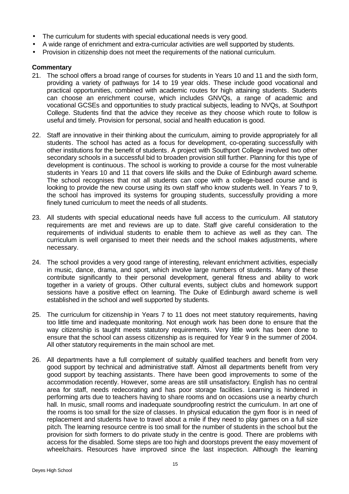- The curriculum for students with special educational needs is very good.
- A wide range of enrichment and extra-curricular activities are well supported by students.
- Provision in citizenship does not meet the requirements of the national curriculum.

- 21. The school offers a broad range of courses for students in Years 10 and 11 and the sixth form, providing a variety of pathways for 14 to 19 year olds. These include good vocational and practical opportunities, combined with academic routes for high attaining students. Students can choose an enrichment course, which includes GNVQs, a range of academic and vocational GCSEs and opportunities to study practical subjects, leading to NVQs, at Southport College. Students find that the advice they receive as they choose which route to follow is useful and timely. Provision for personal, social and health education is good.
- 22. Staff are innovative in their thinking about the curriculum, aiming to provide appropriately for all students. The school has acted as a focus for development, co-operating successfully with other institutions for the benefit of students. A project with Southport College involved two other secondary schools in a successful bid to broaden provision still further. Planning for this type of development is continuous. The school is working to provide a course for the most vulnerable students in Years 10 and 11 that covers life skills and the Duke of Edinburgh award scheme. The school recognises that not all students can cope with a college-based course and is looking to provide the new course using its own staff who know students well. In Years 7 to 9, the school has improved its systems for grouping students, successfully providing a more finely tuned curriculum to meet the needs of all students.
- 23. All students with special educational needs have full access to the curriculum. All statutory requirements are met and reviews are up to date. Staff give careful consideration to the requirements of individual students to enable them to achieve as well as they can. The curriculum is well organised to meet their needs and the school makes adjustments, where necessary.
- 24. The school provides a very good range of interesting, relevant enrichment activities, especially in music, dance, drama, and sport, which involve large numbers of students. Many of these contribute significantly to their personal development, general fitness and ability to work together in a variety of groups. Other cultural events, subject clubs and homework support sessions have a positive effect on learning. The Duke of Edinburgh award scheme is well established in the school and well supported by students.
- 25. The curriculum for citizenship in Years 7 to 11 does not meet statutory requirements, having too little time and inadequate monitoring. Not enough work has been done to ensure that the way citizenship is taught meets statutory requirements. Very little work has been done to ensure that the school can assess citizenship as is required for Year 9 in the summer of 2004. All other statutory requirements in the main school are met.
- 26. All departments have a full complement of suitably qualified teachers and benefit from very good support by technical and administrative staff. Almost all departments benefit from very good support by teaching assistants. There have been good improvements to some of the accommodation recently. However, some areas are still unsatisfactory. English has no central area for staff, needs redecorating and has poor storage facilities. Learning is hindered in performing arts due to teachers having to share rooms and on occasions use a nearby church hall. In music, small rooms and inadequate soundproofing restrict the curriculum. In art one of the rooms is too small for the size of classes. In physical education the gym floor is in need of replacement and students have to travel about a mile if they need to play games on a full size pitch. The learning resource centre is too small for the number of students in the school but the provision for sixth formers to do private study in the centre is good. There are problems with access for the disabled. Some steps are too high and doorstops prevent the easy movement of wheelchairs. Resources have improved since the last inspection. Although the learning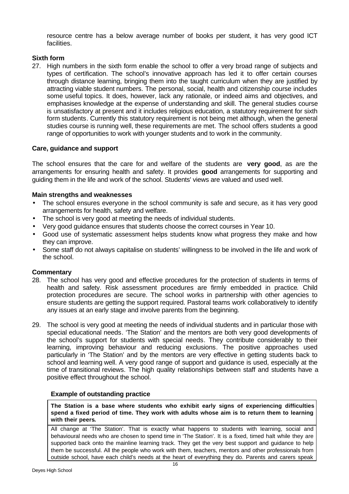resource centre has a below average number of books per student, it has very good ICT facilities.

# **Sixth form**

27. High numbers in the sixth form enable the school to offer a very broad range of subjects and types of certification. The school's innovative approach has led it to offer certain courses through distance learning, bringing them into the taught curriculum when they are justified by attracting viable student numbers. The personal, social, health and citizenship course includes some useful topics. It does, however, lack any rationale, or indeed aims and objectives, and emphasises knowledge at the expense of understanding and skill. The general studies course is unsatisfactory at present and it includes religious education, a statutory requirement for sixth form students. Currently this statutory requirement is not being met although, when the general studies course is running well, these requirements are met. The school offers students a good range of opportunities to work with younger students and to work in the community.

# **Care, guidance and support**

The school ensures that the care for and welfare of the students are **very good**, as are the arrangements for ensuring health and safety. It provides **good** arrangements for supporting and guiding them in the life and work of the school. Students' views are valued and used well.

# **Main strengths and weaknesses**

- The school ensures everyone in the school community is safe and secure, as it has very good arrangements for health, safety and welfare.
- The school is very good at meeting the needs of individual students.
- Very good guidance ensures that students choose the correct courses in Year 10.
- Good use of systematic assessment helps students know what progress they make and how they can improve.
- Some staff do not always capitalise on students' willingness to be involved in the life and work of the school.

#### **Commentary**

- 28. The school has very good and effective procedures for the protection of students in terms of health and safety. Risk assessment procedures are firmly embedded in practice. Child protection procedures are secure. The school works in partnership with other agencies to ensure students are getting the support required. Pastoral teams work collaboratively to identify any issues at an early stage and involve parents from the beginning.
- 29. The school is very good at meeting the needs of individual students and in particular those with special educational needs. 'The Station' and the mentors are both very good developments of the school's support for students with special needs. They contribute considerably to their learning, improving behaviour and reducing exclusions. The positive approaches used particularly in 'The Station' and by the mentors are very effective in getting students back to school and learning well. A very good range of support and guidance is used, especially at the time of transitional reviews. The high quality relationships between staff and students have a positive effect throughout the school.

#### **Example of outstanding practice**

**The Station is a base where students who exhibit early signs of experiencing difficulties spend a fixed period of time. They work with adults whose aim is to return them to learning with their peers.**

All change at 'The Station'. That is exactly what happens to students with learning, social and behavioural needs who are chosen to spend time in 'The Station'. It is a fixed, timed halt while they are supported back onto the mainline learning track. They get the very best support and guidance to help them be successful. All the people who work with them, teachers, mentors and other professionals from outside school, have each child's needs at the heart of everything they do. Parents and carers speak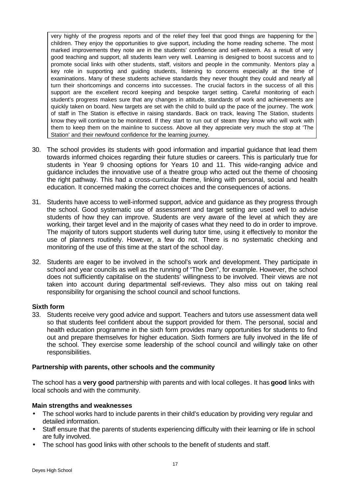very highly of the progress reports and of the relief they feel that good things are happening for the children. They enjoy the opportunities to give support, including the home reading scheme. The most marked improvements they note are in the students' confidence and self-esteem. As a result of very good teaching and support, all students learn very well. Learning is designed to boost success and to promote social links with other students, staff, visitors and people in the community. Mentors play a key role in supporting and guiding students, listening to concerns especially at the time of examinations. Many of these students achieve standards they never thought they could and nearly all turn their shortcomings and concerns into successes. The crucial factors in the success of all this support are the excellent record keeping and bespoke target setting. Careful monitoring of each student's progress makes sure that any changes in attitude, standards of work and achievements are quickly taken on board. New targets are set with the child to build up the pace of the journey. The work of staff in The Station is effective in raising standards. Back on track, leaving The Station, students know they will continue to be monitored. If they start to run out of steam they know who will work with them to keep them on the mainline to success. Above all they appreciate very much the stop at 'The Station' and their newfound confidence for the learning journey.

- 30. The school provides its students with good information and impartial guidance that lead them towards informed choices regarding their future studies or careers. This is particularly true for students in Year 9 choosing options for Years 10 and 11. This wide-ranging advice and guidance includes the innovative use of a theatre group who acted out the theme of choosing the right pathway. This had a cross-curricular theme, linking with personal, social and health education. It concerned making the correct choices and the consequences of actions.
- 31. Students have access to well-informed support, advice and guidance as they progress through the school. Good systematic use of assessment and target setting are used well to advise students of how they can improve. Students are very aware of the level at which they are working, their target level and in the majority of cases what they need to do in order to improve. The majority of tutors support students well during tutor time, using it effectively to monitor the use of planners routinely. However, a few do not. There is no systematic checking and monitoring of the use of this time at the start of the school day.
- 32. Students are eager to be involved in the school's work and development. They participate in school and year councils as well as the running of "The Den", for example. However, the school does not sufficiently capitalise on the students' willingness to be involved. Their views are not taken into account during departmental self-reviews. They also miss out on taking real responsibility for organising the school council and school functions.

#### **Sixth form**

33. Students receive very good advice and support. Teachers and tutors use assessment data well so that students feel confident about the support provided for them. The personal, social and health education programme in the sixth form provides many opportunities for students to find out and prepare themselves for higher education. Sixth formers are fully involved in the life of the school. They exercise some leadership of the school council and willingly take on other responsibilities.

#### **Partnership with parents, other schools and the community**

The school has a **very good** partnership with parents and with local colleges. It has **good** links with local schools and with the community.

# **Main strengths and weaknesses**

- The school works hard to include parents in their child's education by providing very regular and detailed information.
- Staff ensure that the parents of students experiencing difficulty with their learning or life in school are fully involved.
- The school has good links with other schools to the benefit of students and staff.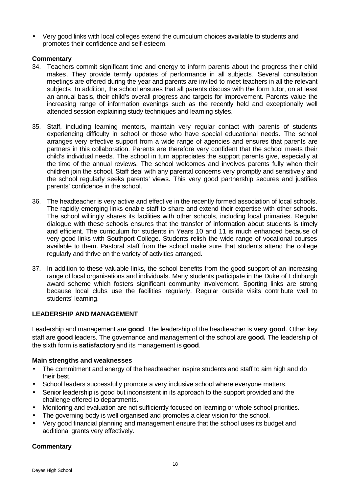• Very good links with local colleges extend the curriculum choices available to students and promotes their confidence and self-esteem.

## **Commentary**

- 34. Teachers commit significant time and energy to inform parents about the progress their child makes. They provide termly updates of performance in all subjects. Several consultation meetings are offered during the year and parents are invited to meet teachers in all the relevant subjects. In addition, the school ensures that all parents discuss with the form tutor, on at least an annual basis, their child's overall progress and targets for improvement. Parents value the increasing range of information evenings such as the recently held and exceptionally well attended session explaining study techniques and learning styles.
- 35. Staff, including learning mentors, maintain very regular contact with parents of students experiencing difficulty in school or those who have special educational needs. The school arranges very effective support from a wide range of agencies and ensures that parents are partners in this collaboration. Parents are therefore very confident that the school meets their child's individual needs. The school in turn appreciates the support parents give, especially at the time of the annual reviews. The school welcomes and involves parents fully when their children join the school. Staff deal with any parental concerns very promptly and sensitively and the school regularly seeks parents' views. This very good partnership secures and justifies parents' confidence in the school.
- 36. The headteacher is very active and effective in the recently formed association of local schools. The rapidly emerging links enable staff to share and extend their expertise with other schools. The school willingly shares its facilities with other schools, including local primaries. Regular dialogue with these schools ensures that the transfer of information about students is timely and efficient. The curriculum for students in Years 10 and 11 is much enhanced because of very good links with Southport College. Students relish the wide range of vocational courses available to them. Pastoral staff from the school make sure that students attend the college regularly and thrive on the variety of activities arranged.
- 37. In addition to these valuable links, the school benefits from the good support of an increasing range of local organisations and individuals. Many students participate in the Duke of Edinburgh award scheme which fosters significant community involvement. Sporting links are strong because local clubs use the facilities regularly. Regular outside visits contribute well to students' learning.

# **LEADERSHIP AND MANAGEMENT**

Leadership and management are **good**. The leadership of the headteacher is **very good**. Other key staff are **good** leaders. The governance and management of the school are **good.** The leadership of the sixth form is **satisfactory** and its management is **good**.

#### **Main strengths and weaknesses**

- The commitment and energy of the headteacher inspire students and staff to aim high and do their best.
- School leaders successfully promote a very inclusive school where everyone matters.
- Senior leadership is good but inconsistent in its approach to the support provided and the challenge offered to departments.
- Monitoring and evaluation are not sufficiently focused on learning or whole school priorities.
- The governing body is well organised and promotes a clear vision for the school.
- Very good financial planning and management ensure that the school uses its budget and additional grants very effectively.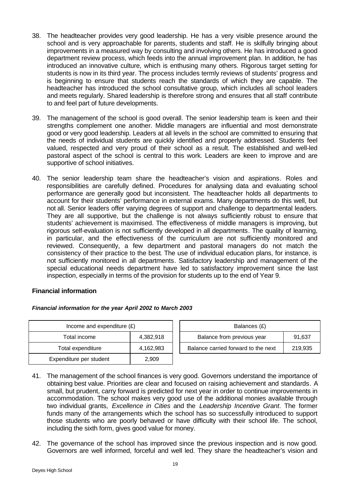- 38. The headteacher provides very good leadership. He has a very visible presence around the school and is very approachable for parents, students and staff. He is skilfully bringing about improvements in a measured way by consulting and involving others. He has introduced a good department review process, which feeds into the annual improvement plan. In addition, he has introduced an innovative culture, which is enthusing many others. Rigorous target setting for students is now in its third year. The process includes termly reviews of students' progress and is beginning to ensure that students reach the standards of which they are capable. The headteacher has introduced the school consultative group, which includes all school leaders and meets regularly. Shared leadership is therefore strong and ensures that all staff contribute to and feel part of future developments.
- 39. The management of the school is good overall. The senior leadership team is keen and their strengths complement one another. Middle managers are influential and most demonstrate good or very good leadership. Leaders at all levels in the school are committed to ensuring that the needs of individual students are quickly identified and properly addressed. Students feel valued, respected and very proud of their school as a result. The established and well-led pastoral aspect of the school is central to this work. Leaders are keen to improve and are supportive of school initiatives.
- 40. The senior leadership team share the headteacher's vision and aspirations. Roles and responsibilities are carefully defined. Procedures for analysing data and evaluating school performance are generally good but inconsistent. The headteacher holds all departments to account for their students' performance in external exams. Many departments do this well, but not all. Senior leaders offer varying degrees of support and challenge to departmental leaders. They are all supportive, but the challenge is not always sufficiently robust to ensure that students' achievement is maximised. The effectiveness of middle managers is improving, but rigorous self-evaluation is not sufficiently developed in all departments. The quality of learning, in particular, and the effectiveness of the curriculum are not sufficiently monitored and reviewed. Consequently, a few department and pastoral managers do not match the consistency of their practice to the best. The use of individual education plans, for instance, is not sufficiently monitored in all departments. Satisfactory leadership and management of the special educational needs department have led to satisfactory improvement since the last inspection, especially in terms of the provision for students up to the end of Year 9.

#### **Financial information**

| Income and expenditure $(E)$ |           |  | Balances (£)                   |
|------------------------------|-----------|--|--------------------------------|
| Total income                 | 4,382,918 |  | Balance from previous year     |
| Total expenditure            | 4,162,983 |  | Balance carried forward to the |
| Expenditure per student      | 2,909     |  |                                |

| Financial information for the year April 2002 to March 2003 |  |  |  |
|-------------------------------------------------------------|--|--|--|
|                                                             |  |  |  |

| Income and expenditure $(E)$ |           | Balances (£)                         |         |  |  |  |
|------------------------------|-----------|--------------------------------------|---------|--|--|--|
| Total income                 | 4.382.918 | Balance from previous year<br>91.637 |         |  |  |  |
| Total expenditure            | 4,162,983 | Balance carried forward to the next  | 219,935 |  |  |  |

- 41. The management of the school finances is very good. Governors understand the importance of obtaining best value. Priorities are clear and focused on raising achievement and standards. A small, but prudent, carry forward is predicted for next year in order to continue improvements in accommodation. The school makes very good use of the additional monies available through two individual grants, *Excellence in Cities* and the *Leadership Incentive Grant*. The former funds many of the arrangements which the school has so successfully introduced to support those students who are poorly behaved or have difficulty with their school life. The school, including the sixth form, gives good value for money.
- 42. The governance of the school has improved since the previous inspection and is now good. Governors are well informed, forceful and well led. They share the headteacher's vision and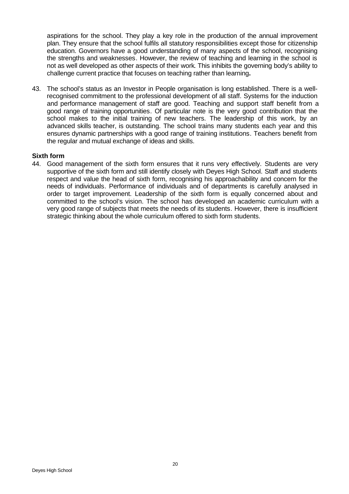aspirations for the school. They play a key role in the production of the annual improvement plan. They ensure that the school fulfils all statutory responsibilities except those for citizenship education. Governors have a good understanding of many aspects of the school, recognising the strengths and weaknesses. However, the review of teaching and learning in the school is not as well developed as other aspects of their work. This inhibits the governing body's ability to challenge current practice that focuses on teaching rather than learning**.**

43. The school's status as an Investor in People organisation is long established. There is a wellrecognised commitment to the professional development of all staff. Systems for the induction and performance management of staff are good. Teaching and support staff benefit from a good range of training opportunities. Of particular note is the very good contribution that the school makes to the initial training of new teachers. The leadership of this work, by an advanced skills teacher, is outstanding. The school trains many students each year and this ensures dynamic partnerships with a good range of training institutions. Teachers benefit from the regular and mutual exchange of ideas and skills.

#### **Sixth form**

44. Good management of the sixth form ensures that it runs very effectively. Students are very supportive of the sixth form and still identify closely with Deyes High School. Staff and students respect and value the head of sixth form, recognising his approachability and concern for the needs of individuals. Performance of individuals and of departments is carefully analysed in order to target improvement. Leadership of the sixth form is equally concerned about and committed to the school's vision. The school has developed an academic curriculum with a very good range of subjects that meets the needs of its students. However, there is insufficient strategic thinking about the whole curriculum offered to sixth form students.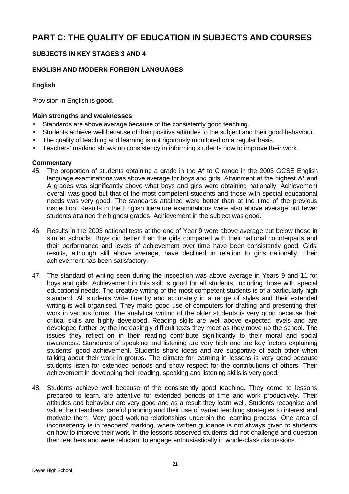# **PART C: THE QUALITY OF EDUCATION IN SUBJECTS AND COURSES**

# **SUBJECTS IN KEY STAGES 3 AND 4**

# **ENGLISH AND MODERN FOREIGN LANGUAGES**

# **English**

Provision in English is **good**.

## **Main strengths and weaknesses**

- Standards are above average because of the consistently good teaching.
- Students achieve well because of their positive attitudes to the subject and their good behaviour.
- The quality of teaching and learning is not rigorously monitored on a regular basis.
- Teachers' marking shows no consistency in informing students how to improve their work.

- 45. The proportion of students obtaining a grade in the A\* to C range in the 2003 GCSE English language examinations was above average for boys and girls. Attainment at the highest A<sup>\*</sup> and A grades was significantly above what boys and girls were obtaining nationally. Achievement overall was good but that of the most competent students and those with special educational needs was very good. The standards attained were better than at the time of the previous inspection. Results in the English literature examinations were also above average but fewer students attained the highest grades. Achievement in the subject was good.
- 46. Results in the 2003 national tests at the end of Year 9 were above average but below those in similar schools. Boys did better than the girls compared with their national counterparts and their performance and levels of achievement over time have been consistently good. Girls' results, although still above average, have declined in relation to girls nationally. Their achievement has been satisfactory.
- 47. The standard of writing seen during the inspection was above average in Years 9 and 11 for boys and girls. Achievement in this skill is good for all students, including those with special educational needs. The creative writing of the most competent students is of a particularly high standard. All students write fluently and accurately in a range of styles and their extended writing is well organised. They make good use of computers for drafting and presenting their work in various forms. The analytical writing of the older students is very good because their critical skills are highly developed. Reading skills are well above expected levels and are developed further by the increasingly difficult texts they meet as they move up the school. The issues they reflect on in their reading contribute significantly to their moral and social awareness. Standards of speaking and listening are very high and are key factors explaining students' good achievement. Students share ideas and are supportive of each other when talking about their work in groups. The climate for learning in lessons is very good because students listen for extended periods and show respect for the contributions of others. Their achievement in developing their reading, speaking and listening skills is very good.
- 48. Students achieve well because of the consistently good teaching. They come to lessons prepared to learn, are attentive for extended periods of time and work productively. Their attitudes and behaviour are very good and as a result they learn well. Students recognise and value their teachers' careful planning and their use of varied teaching strategies to interest and motivate them. Very good working relationships underpin the learning process. One area of inconsistency is in teachers' marking, where written guidance is not always given to students on how to improve their work. In the lessons observed students did not challenge and question their teachers and were reluctant to engage enthusiastically in whole-class discussions.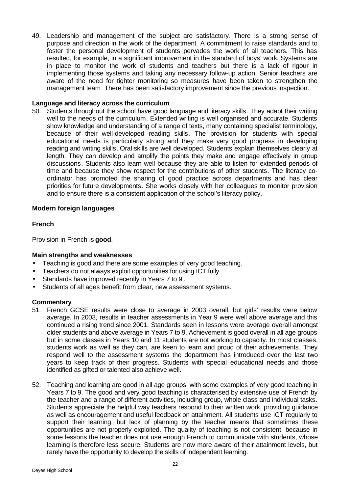49. Leadership and management of the subject are satisfactory. There is a strong sense of purpose and direction in the work of the department. A commitment to raise standards and to foster the personal development of students pervades the work of all teachers. This has resulted, for example, in a significant improvement in the standard of boys' work. Systems are in place to monitor the work of students and teachers but there is a lack of rigour in implementing those systems and taking any necessary follow-up action. Senior teachers are aware of the need for tighter monitoring so measures have been taken to strengthen the management team. There has been satisfactory improvement since the previous inspection.

#### **Language and literacy across the curriculum**

50. Students throughout the school have good language and literacy skills. They adapt their writing well to the needs of the curriculum. Extended writing is well organised and accurate. Students show knowledge and understanding of a range of texts, many containing specialist terminology, because of their well-developed reading skills. The provision for students with special educational needs is particularly strong and they make very good progress in developing reading and writing skills. Oral skills are well developed. Students explain themselves clearly at length. They can develop and amplify the points they make and engage effectively in group discussions. Students also learn well because they are able to listen for extended periods of time and because they show respect for the contributions of other students. The literacy coordinator has promoted the sharing of good practice across departments and has clear priorities for future developments. She works closely with her colleagues to monitor provision and to ensure there is a consistent application of the school's literacy policy.

#### **Modern foreign languages**

#### **French**

Provision in French is **good**.

#### **Main strengths and weaknesses**

- Teaching is good and there are some examples of very good teaching.
- Teachers do not always exploit opportunities for using ICT fully.
- Standards have improved recently in Years 7 to 9 .
- Students of all ages benefit from clear, new assessment systems.

- 51. French GCSE results were close to average in 2003 overall, but girls' results were below average. In 2003, results in teacher assessments in Year 9 were well above average and this continued a rising trend since 2001. Standards seen in lessons were average overall amongst older students and above average in Years 7 to 9. Achievement is good overall in all age groups but in some classes in Years 10 and 11 students are not working to capacity. In most classes, students work as well as they can, are keen to learn and proud of their achievements. They respond well to the assessment systems the department has introduced over the last two years to keep track of their progress. Students with special educational needs and those identified as gifted or talented also achieve well.
- 52. Teaching and learning are good in all age groups, with some examples of very good teaching in Years 7 to 9. The good and very good teaching is characterised by extensive use of French by the teacher and a range of different activities, including group, whole class and individual tasks. Students appreciate the helpful way teachers respond to their written work, providing guidance as well as encouragement and useful feedback on attainment. All students use ICT regularly to support their learning, but lack of planning by the teacher means that sometimes these opportunities are not properly exploited. The quality of teaching is not consistent, because in some lessons the teacher does not use enough French to communicate with students, whose learning is therefore less secure. Students are now more aware of their attainment levels, but rarely have the opportunity to develop the skills of independent learning.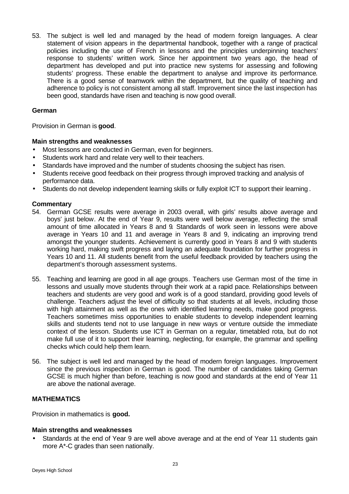53. The subject is well led and managed by the head of modern foreign languages. A clear statement of vision appears in the departmental handbook, together with a range of practical policies including the use of French in lessons and the principles underpinning teachers' response to students' written work. Since her appointment two years ago, the head of department has developed and put into practice new systems for assessing and following students' progress. These enable the department to analyse and improve its performance. There is a good sense of teamwork within the department, but the quality of teaching and adherence to policy is not consistent among all staff. Improvement since the last inspection has been good, standards have risen and teaching is now good overall.

#### **German**

Provision in German is **good**.

# **Main strengths and weaknesses**

- Most lessons are conducted in German, even for beginners.
- Students work hard and relate very well to their teachers.
- Standards have improved and the number of students choosing the subject has risen.
- Students receive good feedback on their progress through improved tracking and analysis of performance data.
- Students do not develop independent learning skills or fully exploit ICT to support their learning .

#### **Commentary**

- 54. German GCSE results were average in 2003 overall, with girls' results above average and boys' just below. At the end of Year 9, results were well below average, reflecting the small amount of time allocated in Years 8 and 9. Standards of work seen in lessons were above average in Years 10 and 11 and average in Years 8 and 9, indicating an improving trend amongst the younger students. Achievement is currently good in Years 8 and 9 with students working hard, making swift progress and laying an adequate foundation for further progress in Years 10 and 11. All students benefit from the useful feedback provided by teachers using the department's thorough assessment systems.
- 55. Teaching and learning are good in all age groups. Teachers use German most of the time in lessons and usually move students through their work at a rapid pace. Relationships between teachers and students are very good and work is of a good standard, providing good levels of challenge. Teachers adjust the level of difficulty so that students at all levels, including those with high attainment as well as the ones with identified learning needs, make good progress. Teachers sometimes miss opportunities to enable students to develop independent learning skills and students tend not to use language in new ways or venture outside the immediate context of the lesson. Students use ICT in German on a regular, timetabled rota, but do not make full use of it to support their learning, neglecting, for example, the grammar and spelling checks which could help them learn.
- 56. The subject is well led and managed by the head of modern foreign languages. Improvement since the previous inspection in German is good. The number of candidates taking German GCSE is much higher than before, teaching is now good and standards at the end of Year 11 are above the national average.

# **MATHEMATICS**

Provision in mathematics is **good.**

#### **Main strengths and weaknesses**

Standards at the end of Year 9 are well above average and at the end of Year 11 students gain more A\*-C grades than seen nationally.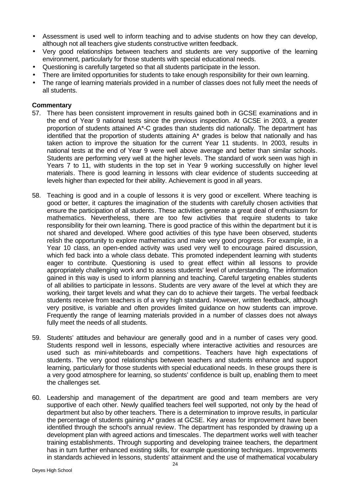- Assessment is used well to inform teaching and to advise students on how they can develop, although not all teachers give students constructive written feedback.
- Very good relationships between teachers and students are very supportive of the learning environment, particularly for those students with special educational needs.
- Questioning is carefully targeted so that all students participate in the lesson.
- There are limited opportunities for students to take enough responsibility for their own learning.
- The range of learning materials provided in a number of classes does not fully meet the needs of all students.

- 57. There has been consistent improvement in results gained both in GCSE examinations and in the end of Year 9 national tests since the previous inspection. At GCSE in 2003, a greater proportion of students attained A\*-C grades than students did nationally. The department has identified that the proportion of students attaining A\* grades is below that nationally and has taken action to improve the situation for the current Year 11 students. In 2003, results in national tests at the end of Year 9 were well above average and better than similar schools. Students are performing very well at the higher levels. The standard of work seen was high in Years 7 to 11, with students in the top set in Year 9 working successfully on higher level materials. There is good learning in lessons with clear evidence of students succeeding at levels higher than expected for their ability. Achievement is good in all years.
- 58. Teaching is good and in a couple of lessons it is very good or excellent. Where teaching is good or better, it captures the imagination of the students with carefully chosen activities that ensure the participation of all students. These activities generate a great deal of enthusiasm for mathematics. Nevertheless, there are too few activities that require students to take responsibility for their own learning. There is good practice of this within the department but it is not shared and developed. Where good activities of this type have been observed, students relish the opportunity to explore mathematics and make very good progress. For example, in a Year 10 class, an open-ended activity was used very well to encourage paired discussion, which fed back into a whole class debate. This promoted independent learning with students eager to contribute. Questioning is used to great effect within all lessons to provide appropriately challenging work and to assess students' level of understanding. The information gained in this way is used to inform planning and teaching. Careful targeting enables students of all abilities to participate in lessons. Students are very aware of the level at which they are working, their target levels and what they can do to achieve their targets. The verbal feedback students receive from teachers is of a very high standard. However, written feedback, although very positive, is variable and often provides limited guidance on how students can improve. Frequently the range of learning materials provided in a number of classes does not always fully meet the needs of all students.
- 59. Students' attitudes and behaviour are generally good and in a number of cases very good. Students respond well in lessons, especially where interactive activities and resources are used such as mini-whiteboards and competitions. Teachers have high expectations of students. The very good relationships between teachers and students enhance and support learning, particularly for those students with special educational needs. In these groups there is a very good atmosphere for learning, so students' confidence is built up, enabling them to meet the challenges set.
- 60. Leadership and management of the department are good and team members are very supportive of each other. Newly qualified teachers feel well supported, not only by the head of department but also by other teachers. There is a determination to improve results, in particular the percentage of students gaining A\* grades at GCSE. Key areas for improvement have been identified through the school's annual review. The department has responded by drawing up a development plan with agreed actions and timescales. The department works well with teacher training establishments. Through supporting and developing trainee teachers, the department has in turn further enhanced existing skills, for example questioning techniques. Improvements in standards achieved in lessons, students' attainment and the use of mathematical vocabulary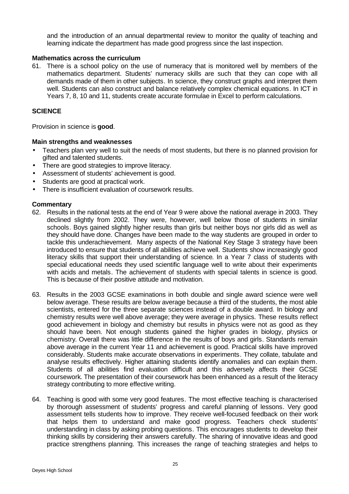and the introduction of an annual departmental review to monitor the quality of teaching and learning indicate the department has made good progress since the last inspection.

#### **Mathematics across the curriculum**

61. There is a school policy on the use of numeracy that is monitored well by members of the mathematics department. Students' numeracy skills are such that they can cope with all demands made of them in other subjects. In science, they construct graphs and interpret them well. Students can also construct and balance relatively complex chemical equations. In ICT in Years 7, 8, 10 and 11, students create accurate formulae in Excel to perform calculations.

## **SCIENCE**

Provision in science is **good**.

#### **Main strengths and weaknesses**

- Teachers plan very well to suit the needs of most students, but there is no planned provision for gifted and talented students.
- There are good strategies to improve literacy.
- Assessment of students' achievement is good.
- Students are good at practical work.
- There is insufficient evaluation of coursework results.

- 62. Results in the national tests at the end of Year 9 were above the national average in 2003. They declined slightly from 2002. They were, however, well below those of students in similar schools. Boys gained slightly higher results than girls but neither boys nor girls did as well as they should have done. Changes have been made to the way students are grouped in order to tackle this underachievement. Many aspects of the National Key Stage 3 strategy have been introduced to ensure that students of all abilities achieve well. Students show increasingly good literacy skills that support their understanding of science. In a Year 7 class of students with special educational needs they used scientific language well to write about their experiments with acids and metals. The achievement of students with special talents in science is good. This is because of their positive attitude and motivation.
- 63. Results in the 2003 GCSE examinations in both double and single award science were well below average. These results are below average because a third of the students, the most able scientists, entered for the three separate sciences instead of a double award. In biology and chemistry results were well above average; they were average in physics. These results reflect good achievement in biology and chemistry but results in physics were not as good as they should have been. Not enough students gained the higher grades in biology, physics or chemistry. Overall there was little difference in the results of boys and girls. Standards remain above average in the current Year 11 and achievement is good. Practical skills have improved considerably. Students make accurate observations in experiments. They collate, tabulate and analyse results effectively. Higher attaining students identify anomalies and can explain them. Students of all abilities find evaluation difficult and this adversely affects their GCSE coursework. The presentation of their coursework has been enhanced as a result of the literacy strategy contributing to more effective writing.
- 64. Teaching is good with some very good features. The most effective teaching is characterised by thorough assessment of students' progress and careful planning of lessons. Very good assessment tells students how to improve. They receive well-focused feedback on their work that helps them to understand and make good progress. Teachers check students' understanding in class by asking probing questions. This encourages students to develop their thinking skills by considering their answers carefully. The sharing of innovative ideas and good practice strengthens planning. This increases the range of teaching strategies and helps to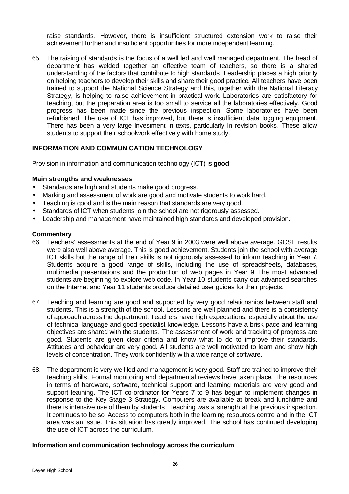raise standards. However, there is insufficient structured extension work to raise their achievement further and insufficient opportunities for more independent learning.

65. The raising of standards is the focus of a well led and well managed department. The head of department has welded together an effective team of teachers, so there is a shared understanding of the factors that contribute to high standards. Leadership places a high priority on helping teachers to develop their skills and share their good practice. All teachers have been trained to support the National Science Strategy and this, together with the National Literacy Strategy, is helping to raise achievement in practical work. Laboratories are satisfactory for teaching, but the preparation area is too small to service all the laboratories effectively. Good progress has been made since the previous inspection. Some laboratories have been refurbished. The use of ICT has improved, but there is insufficient data logging equipment. There has been a very large investment in texts, particularly in revision books. These allow students to support their schoolwork effectively with home study.

# **INFORMATION AND COMMUNICATION TECHNOLOGY**

Provision in information and communication technology (ICT) is **good**.

#### **Main strengths and weaknesses**

- Standards are high and students make good progress.
- Marking and assessment of work are good and motivate students to work hard.
- Teaching is good and is the main reason that standards are very good.
- Standards of ICT when students join the school are not rigorously assessed.
- Leadership and management have maintained high standards and developed provision.

#### **Commentary**

- 66. Teachers' assessments at the end of Year 9 in 2003 were well above average. GCSE results were also well above average. This is good achievement. Students join the school with average ICT skills but the range of their skills is not rigorously assessed to inform teaching in Year 7. Students acquire a good range of skills, including the use of spreadsheets, databases, multimedia presentations and the production of web pages in Year 9. The most advanced students are beginning to explore web code. In Year 10 students carry out advanced searches on the Internet and Year 11 students produce detailed user guides for their projects.
- 67. Teaching and learning are good and supported by very good relationships between staff and students. This is a strength of the school. Lessons are well planned and there is a consistency of approach across the department. Teachers have high expectations, especially about the use of technical language and good specialist knowledge. Lessons have a brisk pace and learning objectives are shared with the students. The assessment of work and tracking of progress are good. Students are given clear criteria and know what to do to improve their standards. Attitudes and behaviour are very good. All students are well motivated to learn and show high levels of concentration. They work confidently with a wide range of software.
- 68. The department is very well led and management is very good. Staff are trained to improve their teaching skills. Formal monitoring and departmental reviews have taken place. The resources in terms of hardware, software, technical support and learning materials are very good and support learning. The ICT co-ordinator for Years 7 to 9 has begun to implement changes in response to the Key Stage 3 Strategy. Computers are available at break and lunchtime and there is intensive use of them by students. Teaching was a strength at the previous inspection. It continues to be so. Access to computers both in the learning resources centre and in the ICT area was an issue. This situation has greatly improved. The school has continued developing the use of ICT across the curriculum.

#### **Information and communication technology across the curriculum**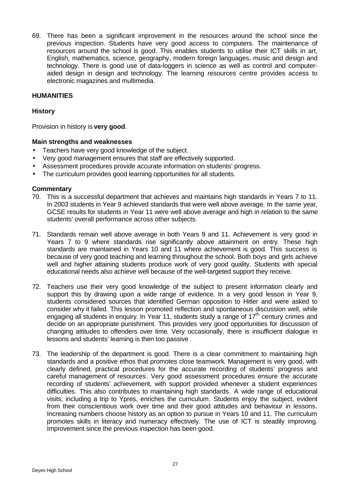69. There has been a significant improvement in the resources around the school since the previous inspection. Students have very good access to computers. The maintenance of resources around the school is good. This enables students to utilise their ICT skills in art, English, mathematics, science, geography, modern foreign languages, music and design and technology. There is good use of data-loggers in science as well as control and computeraided design in design and technology. The learning resources centre provides access to electronic magazines and multimedia.

## **HUMANITIES**

## **History**

Provision in history is **very good**.

#### **Main strengths and weaknesses**

- Teachers have very good knowledge of the subject.
- Very good management ensures that staff are effectively supported.
- Assessment procedures provide accurate information on students' progress.
- The curriculum provides good learning opportunities for all students.

- 70. This is a successful department that achieves and maintains high standards in Years 7 to 11. In 2003 students in Year 9 achieved standards that were well above average. In the same year, GCSE results for students in Year 11 were well above average and high in relation to the same students' overall performance across other subjects.
- 71. Standards remain well above average in both Years 9 and 11. Achievement is very good in Years 7 to 9 where standards rise significantly above attainment on entry. These high standards are maintained in Years 10 and 11 where achievement is good. This success is because of very good teaching and learning throughout the school. Both boys and girls achieve well and higher attaining students produce work of very good quality. Students with special educational needs also achieve well because of the well-targeted support they receive.
- 72. Teachers use their very good knowledge of the subject to present information clearly and support this by drawing upon a wide range of evidence. In a very good lesson in Year 9, students considered sources that identified German opposition to Hitler and were asked to consider why it failed. This lesson promoted reflection and spontaneous discussion well, while engaging all students in enquiry. In Year 11, students study a range of  $17<sup>th</sup>$  century crimes and decide on an appropriate punishment. This provides very good opportunities for discussion of changing attitudes to offenders over time. Very occasionally, there is insufficient dialogue in lessons and students' learning is then too passive .
- 73. The leadership of the department is good. There is a clear commitment to maintaining high standards and a positive ethos that promotes close teamwork. Management is very good, with clearly defined, practical procedures for the accurate recording of students' progress and careful management of resources. Very good assessment procedures ensure the accurate recording of students' achievement, with support provided whenever a student experiences difficulties. This also contributes to maintaining high standards. A wide range of educational visits, including a trip to Ypres, enriches the curriculum. Students enjoy the subject, evident from their conscientious work over time and their good attitudes and behaviour in lessons. Increasing numbers choose history as an option to pursue in Years 10 and 11. The curriculum promotes skills in literacy and numeracy effectively. The use of ICT is steadily improving. Improvement since the previous inspection has been good.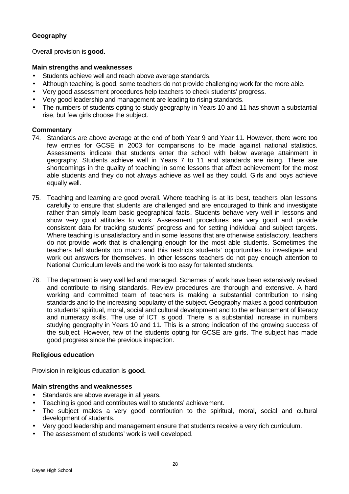# **Geography**

Overall provision is **good.**

# **Main strengths and weaknesses**

- Students achieve well and reach above average standards.
- Although teaching is good, some teachers do not provide challenging work for the more able.
- Very good assessment procedures help teachers to check students' progress.
- Very good leadership and management are leading to rising standards.
- The numbers of students opting to study geography in Years 10 and 11 has shown a substantial rise, but few girls choose the subject.

# **Commentary**

- 74. Standards are above average at the end of both Year 9 and Year 11. However, there were too few entries for GCSE in 2003 for comparisons to be made against national statistics. Assessments indicate that students enter the school with below average attainment in geography. Students achieve well in Years 7 to 11 and standards are rising. There are shortcomings in the quality of teaching in some lessons that affect achievement for the most able students and they do not always achieve as well as they could. Girls and boys achieve equally well.
- 75. Teaching and learning are good overall. Where teaching is at its best, teachers plan lessons carefully to ensure that students are challenged and are encouraged to think and investigate rather than simply learn basic geographical facts. Students behave very well in lessons and show very good attitudes to work. Assessment procedures are very good and provide consistent data for tracking students' progress and for setting individual and subject targets. Where teaching is unsatisfactory and in some lessons that are otherwise satisfactory, teachers do not provide work that is challenging enough for the most able students. Sometimes the teachers tell students too much and this restricts students' opportunities to investigate and work out answers for themselves. In other lessons teachers do not pay enough attention to National Curriculum levels and the work is too easy for talented students.
- 76. The department is very well led and managed. Schemes of work have been extensively revised and contribute to rising standards. Review procedures are thorough and extensive. A hard working and committed team of teachers is making a substantial contribution to rising standards and to the increasing popularity of the subject. Geography makes a good contribution to students' spiritual, moral, social and cultural development and to the enhancement of literacy and numeracy skills. The use of ICT is good. There is a substantial increase in numbers studying geography in Years 10 and 11. This is a strong indication of the growing success of the subject. However, few of the students opting for GCSE are girls. The subject has made good progress since the previous inspection.

#### **Religious education**

Provision in religious education is **good.**

#### **Main strengths and weaknesses**

- Standards are above average in all years.
- Teaching is good and contributes well to students' achievement.
- The subject makes a very good contribution to the spiritual, moral, social and cultural development of students.
- Very good leadership and management ensure that students receive a very rich curriculum.
- The assessment of students' work is well developed.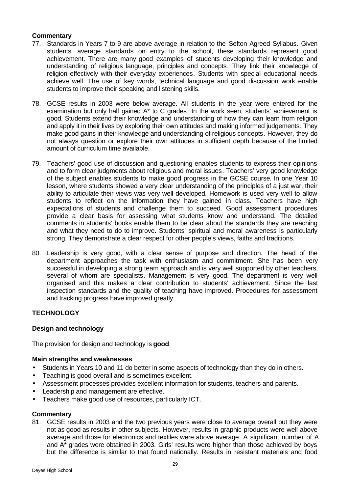# **Commentary**

- 77. Standards in Years 7 to 9 are above average in relation to the Sefton Agreed Syllabus. Given students' average standards on entry to the school, these standards represent good achievement. There are many good examples of students developing their knowledge and understanding of religious language, principles and concepts. They link their knowledge of religion effectively with their everyday experiences. Students with special educational needs achieve well. The use of key words, technical language and good discussion work enable students to improve their speaking and listening skills.
- 78. GCSE results in 2003 were below average. All students in the year were entered for the examination but only half gained A\* to C grades. In the work seen, students' achievement is good. Students extend their knowledge and understanding of how they can learn from religion and apply it in their lives by exploring their own attitudes and making informed judgements. They make good gains in their knowledge and understanding of religious concepts. However, they do not always question or explore their own attitudes in sufficient depth because of the limited amount of curriculum time available.
- 79. Teachers' good use of discussion and questioning enables students to express their opinions and to form clear judgments about religious and moral issues. Teachers' very good knowledge of the subject enables students to make good progress in the GCSE course. In one Year 10 lesson, where students showed a very clear understanding of the principles of a just war, their ability to articulate their views was very well developed. Homework is used very well to allow students to reflect on the information they have gained in class. Teachers have high expectations of students and challenge them to succeed. Good assessment procedures provide a clear basis for assessing what students know and understand. The detailed comments in students' books enable them to be clear about the standards they are reaching and what they need to do to improve. Students' spiritual and moral awareness is particularly strong. They demonstrate a clear respect for other people's views, faiths and traditions.
- 80. Leadership is very good, with a clear sense of purpose and direction. The head of the department approaches the task with enthusiasm and commitment. She has been very successful in developing a strong team approach and is very well supported by other teachers, several of whom are specialists. Management is very good. The department is very well organised and this makes a clear contribution to students' achievement. Since the last inspection standards and the quality of teaching have improved. Procedures for assessment and tracking progress have improved greatly.

# **TECHNOLOGY**

# **Design and technology**

The provision for design and technology is **good**.

#### **Main strengths and weaknesses**

- Students in Years 10 and 11 do better in some aspects of technology than they do in others.
- Teaching is good overall and is sometimes excellent.
- Assessment processes provides excellent information for students, teachers and parents.
- Leadership and management are effective.
- Teachers make good use of resources, particularly ICT.

#### **Commentary**

81. GCSE results in 2003 and the two previous years were close to average overall but they were not as good as results in other subjects. However, results in graphic products were well above average and those for electronics and textiles were above average. A significant number of A and A\* grades were obtained in 2003. Girls' results were higher than those achieved by boys but the difference is similar to that found nationally. Results in resistant materials and food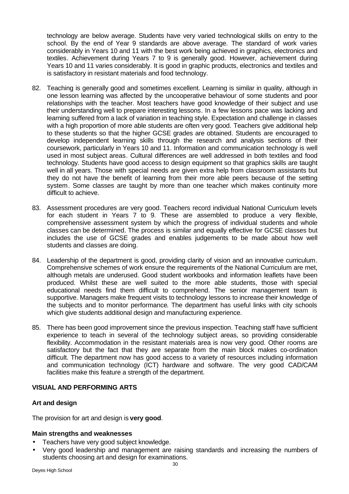technology are below average. Students have very varied technological skills on entry to the school. By the end of Year 9 standards are above average. The standard of work varies considerably in Years 10 and 11 with the best work being achieved in graphics, electronics and textiles. Achievement during Years 7 to 9 is generally good. However, achievement during Years 10 and 11 varies considerably. It is good in graphic products, electronics and textiles and is satisfactory in resistant materials and food technology.

- 82. Teaching is generally good and sometimes excellent. Learning is similar in quality, although in one lesson learning was affected by the uncooperative behaviour of some students and poor relationships with the teacher. Most teachers have good knowledge of their subject and use their understanding well to prepare interesting lessons. In a few lessons pace was lacking and learning suffered from a lack of variation in teaching style. Expectation and challenge in classes with a high proportion of more able students are often very good. Teachers give additional help to these students so that the higher GCSE grades are obtained. Students are encouraged to develop independent learning skills through the research and analysis sections of their coursework, particularly in Years 10 and 11. Information and communication technology is well used in most subject areas. Cultural differences are well addressed in both textiles and food technology. Students have good access to design equipment so that graphics skills are taught well in all years. Those with special needs are given extra help from classroom assistants but they do not have the benefit of learning from their more able peers because of the setting system. Some classes are taught by more than one teacher which makes continuity more difficult to achieve.
- 83. Assessment procedures are very good. Teachers record individual National Curriculum levels for each student in Years 7 to 9. These are assembled to produce a very flexible, comprehensive assessment system by which the progress of individual students and whole classes can be determined. The process is similar and equally effective for GCSE classes but includes the use of GCSE grades and enables judgements to be made about how well students and classes are doing.
- 84. Leadership of the department is good, providing clarity of vision and an innovative curriculum. Comprehensive schemes of work ensure the requirements of the National Curriculum are met, although metals are underused. Good student workbooks and information leaflets have been produced. Whilst these are well suited to the more able students, those with special educational needs find them difficult to comprehend. The senior management team is supportive. Managers make frequent visits to technology lessons to increase their knowledge of the subjects and to monitor performance. The department has useful links with city schools which give students additional design and manufacturing experience.
- 85. There has been good improvement since the previous inspection. Teaching staff have sufficient experience to teach in several of the technology subject areas, so providing considerable flexibility. Accommodation in the resistant materials area is now very good. Other rooms are satisfactory but the fact that they are separate from the main block makes co-ordination difficult. The department now has good access to a variety of resources including information and communication technology (ICT) hardware and software. The very good CAD/CAM facilities make this feature a strength of the department.

#### **VISUAL AND PERFORMING ARTS**

#### **Art and design**

The provision for art and design is **very good**.

#### **Main strengths and weaknesses**

- Teachers have very good subject knowledge.
- Very good leadership and management are raising standards and increasing the numbers of students choosing art and design for examinations.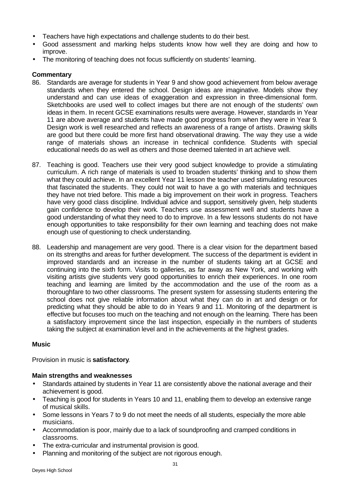- Teachers have high expectations and challenge students to do their best.
- Good assessment and marking helps students know how well they are doing and how to improve.
- The monitoring of teaching does not focus sufficiently on students' learning.

#### **Commentary**

- 86. Standards are average for students in Year 9 and show good achievement from below average standards when they entered the school. Design ideas are imaginative. Models show they understand and can use ideas of exaggeration and expression in three-dimensional form. Sketchbooks are used well to collect images but there are not enough of the students' own ideas in them. In recent GCSE examinations results were average. However, standards in Year 11 are above average and students have made good progress from when they were in Year 9. Design work is well researched and reflects an awareness of a range of artists. Drawing skills are good but there could be more first hand observational drawing. The way they use a wide range of materials shows an increase in technical confidence. Students with special educational needs do as well as others and those deemed talented in art achieve well.
- 87. Teaching is good. Teachers use their very good subject knowledge to provide a stimulating curriculum. A rich range of materials is used to broaden students' thinking and to show them what they could achieve. In an excellent Year 11 lesson the teacher used stimulating resources that fascinated the students. They could not wait to have a go with materials and techniques they have not tried before. This made a big improvement on their work in progress. Teachers have very good class discipline. Individual advice and support, sensitively given, help students gain confidence to develop their work. Teachers use assessment well and students have a good understanding of what they need to do to improve. In a few lessons students do not have enough opportunities to take responsibility for their own learning and teaching does not make enough use of questioning to check understanding.
- 88. Leadership and management are very good. There is a clear vision for the department based on its strengths and areas for further development. The success of the department is evident in improved standards and an increase in the number of students taking art at GCSE and continuing into the sixth form. Visits to galleries, as far away as New York, and working with visiting artists give students very good opportunities to enrich their experiences. In one room teaching and learning are limited by the accommodation and the use of the room as a thoroughfare to two other classrooms. The present system for assessing students entering the school does not give reliable information about what they can do in art and design or for predicting what they should be able to do in Years 9 and 11. Monitoring of the department is effective but focuses too much on the teaching and not enough on the learning. There has been a satisfactory improvement since the last inspection, especially in the numbers of students taking the subject at examination level and in the achievements at the highest grades.

#### **Music**

Provision in music is **satisfactory**.

#### **Main strengths and weaknesses**

- Standards attained by students in Year 11 are consistently above the national average and their achievement is good.
- Teaching is good for students in Years 10 and 11, enabling them to develop an extensive range of musical skills.
- Some lessons in Years 7 to 9 do not meet the needs of all students, especially the more able musicians.
- Accommodation is poor, mainly due to a lack of soundproofing and cramped conditions in classrooms.
- The extra-curricular and instrumental provision is good.
- Planning and monitoring of the subject are not rigorous enough.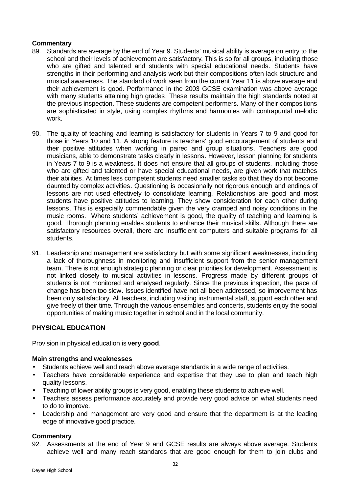#### **Commentary**

- 89. Standards are average by the end of Year 9. Students' musical ability is average on entry to the school and their levels of achievement are satisfactory. This is so for all groups, including those who are gifted and talented and students with special educational needs. Students have strengths in their performing and analysis work but their compositions often lack structure and musical awareness. The standard of work seen from the current Year 11 is above average and their achievement is good. Performance in the 2003 GCSE examination was above average with many students attaining high grades. These results maintain the high standards noted at the previous inspection. These students are competent performers. Many of their compositions are sophisticated in style, using complex rhythms and harmonies with contrapuntal melodic work.
- 90. The quality of teaching and learning is satisfactory for students in Years 7 to 9 and good for those in Years 10 and 11. A strong feature is teachers' good encouragement of students and their positive attitudes when working in paired and group situations. Teachers are good musicians, able to demonstrate tasks clearly in lessons. However, lesson planning for students in Years 7 to 9 is a weakness. It does not ensure that all groups of students, including those who are gifted and talented or have special educational needs, are given work that matches their abilities. At times less competent students need smaller tasks so that they do not become daunted by complex activities. Questioning is occasionally not rigorous enough and endings of lessons are not used effectively to consolidate learning. Relationships are good and most students have positive attitudes to learning. They show consideration for each other during lessons. This is especially commendable given the very cramped and noisy conditions in the music rooms. Where students' achievement is good, the quality of teaching and learning is good. Thorough planning enables students to enhance their musical skills. Although there are satisfactory resources overall, there are insufficient computers and suitable programs for all students.
- 91. Leadership and management are satisfactory but with some significant weaknesses, including a lack of thoroughness in monitoring and insufficient support from the senior management team. There is not enough strategic planning or clear priorities for development. Assessment is not linked closely to musical activities in lessons. Progress made by different groups of students is not monitored and analysed regularly. Since the previous inspection, the pace of change has been too slow. Issues identified have not all been addressed, so improvement has been only satisfactory. All teachers, including visiting instrumental staff, support each other and give freely of their time. Through the various ensembles and concerts, students enjoy the social opportunities of making music together in school and in the local community.

# **PHYSICAL EDUCATION**

Provision in physical education is **very good**.

#### **Main strengths and weaknesses**

- Students achieve well and reach above average standards in a wide range of activities.
- Teachers have considerable experience and expertise that they use to plan and teach high quality lessons.
- Teaching of lower ability groups is very good, enabling these students to achieve well.
- Teachers assess performance accurately and provide very good advice on what students need to do to improve.
- Leadership and management are very good and ensure that the department is at the leading edge of innovative good practice.

# **Commentary**

92. Assessments at the end of Year 9 and GCSE results are always above average. Students achieve well and many reach standards that are good enough for them to join clubs and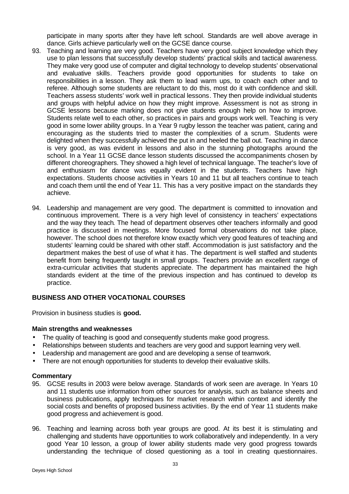participate in many sports after they have left school. Standards are well above average in dance. Girls achieve particularly well on the GCSE dance course.

- 93. Teaching and learning are very good. Teachers have very good subject knowledge which they use to plan lessons that successfully develop students' practical skills and tactical awareness. They make very good use of computer and digital technology to develop students' observational and evaluative skills. Teachers provide good opportunities for students to take on responsibilities in a lesson. They ask them to lead warm ups, to coach each other and to referee. Although some students are reluctant to do this, most do it with confidence and skill. Teachers assess students' work well in practical lessons. They then provide individual students and groups with helpful advice on how they might improve. Assessment is not as strong in GCSE lessons because marking does not give students enough help on how to improve. Students relate well to each other, so practices in pairs and groups work well. Teaching is very good in some lower ability groups. In a Year 9 rugby lesson the teacher was patient, caring and encouraging as the students tried to master the complexities of a scrum. Students were delighted when they successfully achieved the put in and heeled the ball out. Teaching in dance is very good, as was evident in lessons and also in the stunning photographs around the school. In a Year 11 GCSE dance lesson students discussed the accompaniments chosen by different choreographers. They showed a high level of technical language. The teacher's love of and enthusiasm for dance was equally evident in the students. Teachers have high expectations. Students choose activities in Years 10 and 11 but all teachers continue to teach and coach them until the end of Year 11. This has a very positive impact on the standards they achieve.
- 94. Leadership and management are very good. The department is committed to innovation and continuous improvement. There is a very high level of consistency in teachers' expectations and the way they teach. The head of department observes other teachers informally and good practice is discussed in meetings. More focused formal observations do not take place, however. The school does not therefore know exactly which very good features of teaching and students' learning could be shared with other staff. Accommodation is just satisfactory and the department makes the best of use of what it has. The department is well staffed and students benefit from being frequently taught in small groups. Teachers provide an excellent range of extra-curricular activities that students appreciate. The department has maintained the high standards evident at the time of the previous inspection and has continued to develop its practice.

#### **BUSINESS AND OTHER VOCATIONAL COURSES**

Provision in business studies is **good.**

#### **Main strengths and weaknesses**

- The quality of teaching is good and consequently students make good progress.
- Relationships between students and teachers are very good and support learning very well.
- Leadership and management are good and are developing a sense of teamwork.
- There are not enough opportunities for students to develop their evaluative skills.

- 95. GCSE results in 2003 were below average. Standards of work seen are average. In Years 10 and 11 students use information from other sources for analysis, such as balance sheets and business publications, apply techniques for market research within context and identify the social costs and benefits of proposed business activities. By the end of Year 11 students make good progress and achievement is good.
- 96. Teaching and learning across both year groups are good. At its best it is stimulating and challenging and students have opportunities to work collaboratively and independently. In a very good Year 10 lesson, a group of lower ability students made very good progress towards understanding the technique of closed questioning as a tool in creating questionnaires.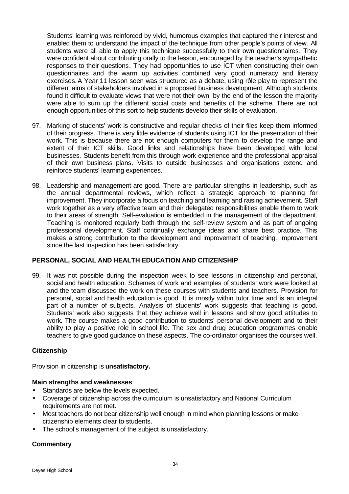Students' learning was reinforced by vivid, humorous examples that captured their interest and enabled them to understand the impact of the technique from other people's points of view. All students were all able to apply this technique successfully to their own questionnaires. They were confident about contributing orally to the lesson, encouraged by the teacher's sympathetic responses to their questions. They had opportunities to use ICT when constructing their own questionnaires and the warm up activities combined very good numeracy and literacy exercises.A Year 11 lesson seen was structured as a debate, using rôle play to represent the different aims of stakeholders involved in a proposed business development. Although students found it difficult to evaluate views that were not their own, by the end of the lesson the majority were able to sum up the different social costs and benefits of the scheme. There are not enough opportunities of this sort to help students develop their skills of evaluation.

- 97. Marking of students' work is constructive and regular checks of their files keep them informed of their progress. There is very little evidence of students using ICT for the presentation of their work. This is because there are not enough computers for them to develop the range and extent of their ICT skills. Good links and relationships have been developed with local businesses. Students benefit from this through work experience and the professional appraisal of their own business plans. Visits to outside businesses and organisations extend and reinforce students' learning experiences.
- 98. Leadership and management are good. There are particular strengths in leadership, such as the annual departmental reviews, which reflect a strategic approach to planning for improvement. They incorporate a focus on teaching and learning and raising achievement. Staff work together as a very effective team and their delegated responsibilities enable them to work to their areas of strength. Self-evaluation is embedded in the management of the department. Teaching is monitored regularly both through the self-review system and as part of ongoing professional development. Staff continually exchange ideas and share best practice. This makes a strong contribution to the development and improvement of teaching. Improvement since the last inspection has been satisfactory.

#### **PERSONAL, SOCIAL AND HEALTH EDUCATION AND CITIZENSHIP**

99. It was not possible during the inspection week to see lessons in citizenship and personal, social and health education. Schemes of work and examples of students' work were looked at and the team discussed the work on these courses with students and teachers. Provision for personal, social and health education is good. It is mostly within tutor time and is an integral part of a number of subjects. Analysis of students' work suggests that teaching is good. Students' work also suggests that they achieve well in lessons and show good attitudes to work. The course makes a good contribution to students' personal development and to their ability to play a positive role in school life. The sex and drug education programmes enable teachers to give good guidance on these aspects. The co-ordinator organises the courses well.

#### **Citizenship**

Provision in citizenship is **unsatisfactory.**

#### **Main strengths and weaknesses**

- Standards are below the levels expected.
- Coverage of citizenship across the curriculum is unsatisfactory and National Curriculum requirements are not met.
- Most teachers do not bear citizenship well enough in mind when planning lessons or make citizenship elements clear to students.
- The school's management of the subject is unsatisfactory.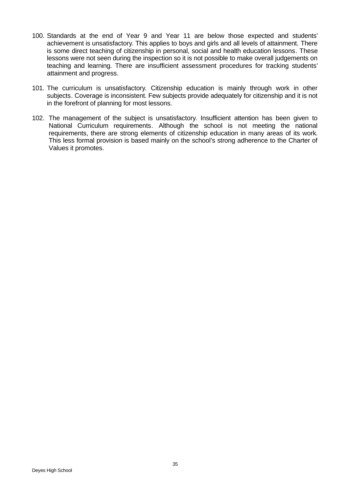- 100. Standards at the end of Year 9 and Year 11 are below those expected and students' achievement is unsatisfactory. This applies to boys and girls and all levels of attainment. There is some direct teaching of citizenship in personal, social and health education lessons. These lessons were not seen during the inspection so it is not possible to make overall judgements on teaching and learning. There are insufficient assessment procedures for tracking students' attainment and progress.
- 101. The curriculum is unsatisfactory. Citizenship education is mainly through work in other subjects. Coverage is inconsistent. Few subjects provide adequately for citizenship and it is not in the forefront of planning for most lessons.
- 102. The management of the subject is unsatisfactory. Insufficient attention has been given to National Curriculum requirements. Although the school is not meeting the national requirements, there are strong elements of citizenship education in many areas of its work. This less formal provision is based mainly on the school's strong adherence to the Charter of Values it promotes.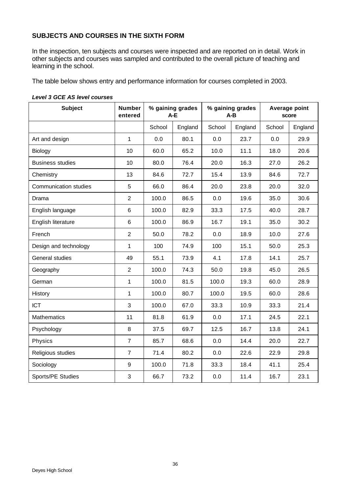# **SUBJECTS AND COURSES IN THE SIXTH FORM**

In the inspection, ten subjects and courses were inspected and are reported on in detail. Work in other subjects and courses was sampled and contributed to the overall picture of teaching and learning in the school.

The table below shows entry and performance information for courses completed in 2003.

| <b>Subject</b>               | <b>Number</b><br>entered | % gaining grades<br>A-E |         | % gaining grades<br>$A-B$ |         | Average point<br>score |         |
|------------------------------|--------------------------|-------------------------|---------|---------------------------|---------|------------------------|---------|
|                              |                          | School                  | England | School                    | England | School                 | England |
| Art and design               | $\mathbf{1}$             | 0.0                     | 80.1    | 0.0                       | 23.7    | 0.0                    | 29.9    |
| Biology                      | 10                       | 60.0                    | 65.2    | 10.0                      | 11.1    | 18.0                   | 20.6    |
| <b>Business studies</b>      | 10                       | 80.0                    | 76.4    | 20.0                      | 16.3    | 27.0                   | 26.2    |
| Chemistry                    | 13                       | 84.6                    | 72.7    | 15.4                      | 13.9    | 84.6                   | 72.7    |
| <b>Communication studies</b> | 5                        | 66.0                    | 86.4    | 20.0                      | 23.8    | 20.0                   | 32.0    |
| Drama                        | $\overline{2}$           | 100.0                   | 86.5    | 0.0                       | 19.6    | 35.0                   | 30.6    |
| English language             | 6                        | 100.0                   | 82.9    | 33.3                      | 17.5    | 40.0                   | 28.7    |
| English literature           | 6                        | 100.0                   | 86.9    | 16.7                      | 19.1    | 35.0                   | 30.2    |
| French                       | $\overline{2}$           | 50.0                    | 78.2    | 0.0                       | 18.9    | 10.0                   | 27.6    |
| Design and technology        | 1                        | 100                     | 74.9    | 100                       | 15.1    | 50.0                   | 25.3    |
| General studies              | 49                       | 55.1                    | 73.9    | 4.1                       | 17.8    | 14.1                   | 25.7    |
| Geography                    | $\overline{2}$           | 100.0                   | 74.3    | 50.0                      | 19.8    | 45.0                   | 26.5    |
| German                       | $\mathbf{1}$             | 100.0                   | 81.5    | 100.0                     | 19.3    | 60.0                   | 28.9    |
| History                      | 1                        | 100.0                   | 80.7    | 100.0                     | 19.5    | 60.0                   | 28.6    |
| <b>ICT</b>                   | 3                        | 100.0                   | 67.0    | 33.3                      | 10.9    | 33.3                   | 21.4    |
| <b>Mathematics</b>           | 11                       | 81.8                    | 61.9    | 0.0                       | 17.1    | 24.5                   | 22.1    |
| Psychology                   | 8                        | 37.5                    | 69.7    | 12.5                      | 16.7    | 13.8                   | 24.1    |
| Physics                      | $\overline{7}$           | 85.7                    | 68.6    | 0.0                       | 14.4    | 20.0                   | 22.7    |
| Religious studies            | $\overline{7}$           | 71.4                    | 80.2    | 0.0                       | 22.6    | 22.9                   | 29.8    |
| Sociology                    | $9\,$                    | 100.0                   | 71.8    | 33.3                      | 18.4    | 41.1                   | 25.4    |
| Sports/PE Studies            | 3                        | 66.7                    | 73.2    | 0.0                       | 11.4    | 16.7                   | 23.1    |

#### *Level 3 GCE AS level courses*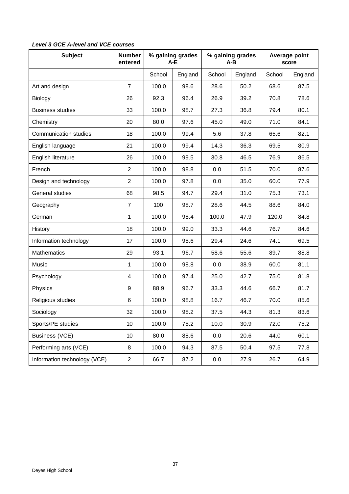| <b>Subject</b>               | <b>Number</b><br>entered | % gaining grades<br>$A-E$ |         | % gaining grades<br>A-B |         | Average point<br>score |         |
|------------------------------|--------------------------|---------------------------|---------|-------------------------|---------|------------------------|---------|
|                              |                          | School                    | England | School                  | England | School                 | England |
| Art and design               | $\overline{7}$           | 100.0                     | 98.6    | 28.6                    | 50.2    | 68.6                   | 87.5    |
| Biology                      | 26                       | 92.3                      | 96.4    | 26.9                    | 39.2    | 70.8                   | 78.6    |
| <b>Business studies</b>      | 33                       | 100.0                     | 98.7    | 27.3                    | 36.8    | 79.4                   | 80.1    |
| Chemistry                    | 20                       | 80.0                      | 97.6    | 45.0                    | 49.0    | 71.0                   | 84.1    |
| <b>Communication studies</b> | 18                       | 100.0                     | 99.4    | 5.6                     | 37.8    | 65.6                   | 82.1    |
| English language             | 21                       | 100.0                     | 99.4    | 14.3                    | 36.3    | 69.5                   | 80.9    |
| English literature           | 26                       | 100.0                     | 99.5    | 30.8                    | 46.5    | 76.9                   | 86.5    |
| French                       | $\overline{2}$           | 100.0                     | 98.8    | 0.0                     | 51.5    | 70.0                   | 87.6    |
| Design and technology        | $\overline{2}$           | 100.0                     | 97.8    | 0.0                     | 35.0    | 60.0                   | 77.9    |
| General studies              | 68                       | 98.5                      | 94.7    | 29.4                    | 31.0    | 75.3                   | 73.1    |
| Geography                    | 7                        | 100                       | 98.7    | 28.6                    | 44.5    | 88.6                   | 84.0    |
| German                       | $\mathbf{1}$             | 100.0                     | 98.4    | 100.0                   | 47.9    | 120.0                  | 84.8    |
| History                      | 18                       | 100.0                     | 99.0    | 33.3                    | 44.6    | 76.7                   | 84.6    |
| Information technology       | 17                       | 100.0                     | 95.6    | 29.4                    | 24.6    | 74.1                   | 69.5    |
| <b>Mathematics</b>           | 29                       | 93.1                      | 96.7    | 58.6                    | 55.6    | 89.7                   | 88.8    |
| Music                        | 1                        | 100.0                     | 98.8    | 0.0                     | 38.9    | 60.0                   | 81.1    |
| Psychology                   | 4                        | 100.0                     | 97.4    | 25.0                    | 42.7    | 75.0                   | 81.8    |
| Physics                      | 9                        | 88.9                      | 96.7    | 33.3                    | 44.6    | 66.7                   | 81.7    |
| Religious studies            | 6                        | 100.0                     | 98.8    | 16.7                    | 46.7    | 70.0                   | 85.6    |
| Sociology                    | 32                       | 100.0                     | 98.2    | 37.5                    | 44.3    | 81.3                   | 83.6    |
| Sports/PE studies            | 10                       | 100.0                     | 75.2    | 10.0                    | 30.9    | 72.0                   | 75.2    |
| Business (VCE)               | 10                       | 80.0                      | 88.6    | 0.0                     | 20.6    | 44.0                   | 60.1    |
| Performing arts (VCE)        | 8                        | 100.0                     | 94.3    | 87.5                    | 50.4    | 97.5                   | 77.8    |
| Information technology (VCE) | $\overline{c}$           | 66.7                      | 87.2    | 0.0                     | 27.9    | 26.7                   | 64.9    |

# *Level 3 GCE A-level and VCE courses*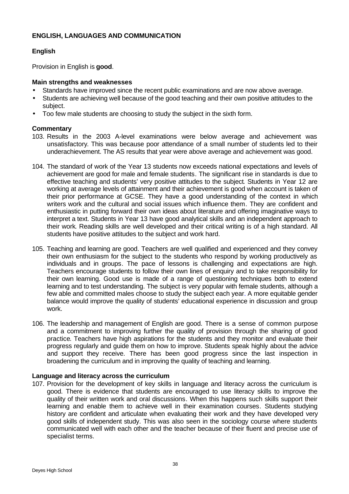# **ENGLISH, LANGUAGES AND COMMUNICATION**

# **English**

Provision in English is **good**.

#### **Main strengths and weaknesses**

- Standards have improved since the recent public examinations and are now above average.
- Students are achieving well because of the good teaching and their own positive attitudes to the subject.
- Too few male students are choosing to study the subject in the sixth form.

# **Commentary**

- 103. Results in the 2003 A-level examinations were below average and achievement was unsatisfactory. This was because poor attendance of a small number of students led to their underachievement. The AS results that year were above average and achievement was good.
- 104. The standard of work of the Year 13 students now exceeds national expectations and levels of achievement are good for male and female students. The significant rise in standards is due to effective teaching and students' very positive attitudes to the subject. Students in Year 12 are working at average levels of attainment and their achievement is good when account is taken of their prior performance at GCSE. They have a good understanding of the context in which writers work and the cultural and social issues which influence them. They are confident and enthusiastic in putting forward their own ideas about literature and offering imaginative ways to interpret a text. Students in Year 13 have good analytical skills and an independent approach to their work. Reading skills are well developed and their critical writing is of a high standard. All students have positive attitudes to the subject and work hard.
- 105. Teaching and learning are good. Teachers are well qualified and experienced and they convey their own enthusiasm for the subject to the students who respond by working productively as individuals and in groups. The pace of lessons is challenging and expectations are high. Teachers encourage students to follow their own lines of enquiry and to take responsibility for their own learning. Good use is made of a range of questioning techniques both to extend learning and to test understanding. The subject is very popular with female students, although a few able and committed males choose to study the subject each year. A more equitable gender balance would improve the quality of students' educational experience in discussion and group work.
- 106. The leadership and management of English are good. There is a sense of common purpose and a commitment to improving further the quality of provision through the sharing of good practice. Teachers have high aspirations for the students and they monitor and evaluate their progress regularly and guide them on how to improve. Students speak highly about the advice and support they receive. There has been good progress since the last inspection in broadening the curriculum and in improving the quality of teaching and learning.

#### **Language and literacy across the curriculum**

107. Provision for the development of key skills in language and literacy across the curriculum is good. There is evidence that students are encouraged to use literacy skills to improve the quality of their written work and oral discussions. When this happens such skills support their learning and enable them to achieve well in their examination courses. Students studying history are confident and articulate when evaluating their work and they have developed very good skills of independent study. This was also seen in the sociology course where students communicated well with each other and the teacher because of their fluent and precise use of specialist terms.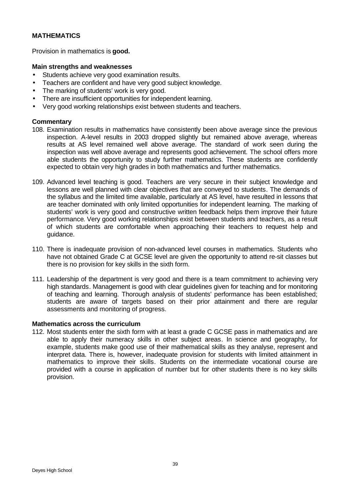# **MATHEMATICS**

Provision in mathematics is **good.**

## **Main strengths and weaknesses**

- Students achieve very good examination results.
- Teachers are confident and have very good subject knowledge.
- The marking of students' work is very good.
- There are insufficient opportunities for independent learning.
- Very good working relationships exist between students and teachers.

# **Commentary**

- 108. Examination results in mathematics have consistently been above average since the previous inspection. A-level results in 2003 dropped slightly but remained above average, whereas results at AS level remained well above average. The standard of work seen during the inspection was well above average and represents good achievement. The school offers more able students the opportunity to study further mathematics. These students are confidently expected to obtain very high grades in both mathematics and further mathematics.
- 109. Advanced level teaching is good. Teachers are very secure in their subject knowledge and lessons are well planned with clear objectives that are conveyed to students. The demands of the syllabus and the limited time available, particularly at AS level, have resulted in lessons that are teacher dominated with only limited opportunities for independent learning. The marking of students' work is very good and constructive written feedback helps them improve their future performance. Very good working relationships exist between students and teachers, as a result of which students are comfortable when approaching their teachers to request help and guidance.
- 110. There is inadequate provision of non-advanced level courses in mathematics. Students who have not obtained Grade C at GCSE level are given the opportunity to attend re-sit classes but there is no provision for key skills in the sixth form.
- 111. Leadership of the department is very good and there is a team commitment to achieving very high standards. Management is good with clear guidelines given for teaching and for monitoring of teaching and learning. Thorough analysis of students' performance has been established; students are aware of targets based on their prior attainment and there are regular assessments and monitoring of progress.

#### **Mathematics across the curriculum**

112. Most students enter the sixth form with at least a grade C GCSE pass in mathematics and are able to apply their numeracy skills in other subject areas. In science and geography, for example, students make good use of their mathematical skills as they analyse, represent and interpret data. There is, however, inadequate provision for students with limited attainment in mathematics to improve their skills. Students on the intermediate vocational course are provided with a course in application of number but for other students there is no key skills provision.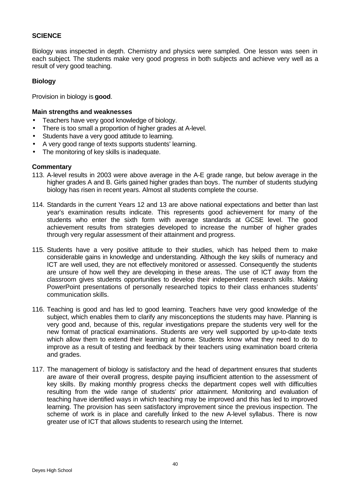## **SCIENCE**

Biology was inspected in depth. Chemistry and physics were sampled. One lesson was seen in each subject. The students make very good progress in both subjects and achieve very well as a result of very good teaching.

#### **Biology**

Provision in biology is **good**.

#### **Main strengths and weaknesses**

- Teachers have very good knowledge of biology.
- There is too small a proportion of higher grades at A-level.
- Students have a very good attitude to learning.
- A very good range of texts supports students' learning.
- The monitoring of key skills is inadequate.

- 113. A-level results in 2003 were above average in the A-E grade range, but below average in the higher grades A and B. Girls gained higher grades than boys. The number of students studying biology has risen in recent years. Almost all students complete the course.
- 114. Standards in the current Years 12 and 13 are above national expectations and better than last year's examination results indicate. This represents good achievement for many of the students who enter the sixth form with average standards at GCSE level. The good achievement results from strategies developed to increase the number of higher grades through very regular assessment of their attainment and progress.
- 115. Students have a very positive attitude to their studies, which has helped them to make considerable gains in knowledge and understanding. Although the key skills of numeracy and ICT are well used, they are not effectively monitored or assessed. Consequently the students are unsure of how well they are developing in these areas. The use of ICT away from the classroom gives students opportunities to develop their independent research skills. Making PowerPoint presentations of personally researched topics to their class enhances students' communication skills.
- 116. Teaching is good and has led to good learning. Teachers have very good knowledge of the subject, which enables them to clarify any misconceptions the students may have. Planning is very good and, because of this, regular investigations prepare the students very well for the new format of practical examinations. Students are very well supported by up-to-date texts which allow them to extend their learning at home. Students know what they need to do to improve as a result of testing and feedback by their teachers using examination board criteria and grades.
- 117. The management of biology is satisfactory and the head of department ensures that students are aware of their overall progress, despite paying insufficient attention to the assessment of key skills. By making monthly progress checks the department copes well with difficulties resulting from the wide range of students' prior attainment. Monitoring and evaluation of teaching have identified ways in which teaching may be improved and this has led to improved learning. The provision has seen satisfactory improvement since the previous inspection. The scheme of work is in place and carefully linked to the new A-level syllabus. There is now greater use of ICT that allows students to research using the Internet.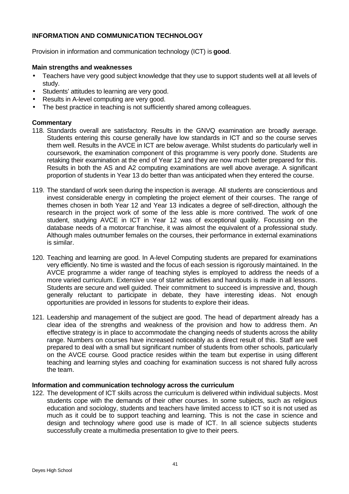# **INFORMATION AND COMMUNICATION TECHNOLOGY**

Provision in information and communication technology (ICT) is **good**.

## **Main strengths and weaknesses**

- Teachers have very good subject knowledge that they use to support students well at all levels of study.
- Students' attitudes to learning are very good.
- Results in A-level computing are very good.
- The best practice in teaching is not sufficiently shared among colleagues.

# **Commentary**

- 118. Standards overall are satisfactory. Results in the GNVQ examination are broadly average. Students entering this course generally have low standards in ICT and so the course serves them well. Results in the AVCE in ICT are below average. Whilst students do particularly well in coursework, the examination component of this programme is very poorly done. Students are retaking their examination at the end of Year 12 and they are now much better prepared for this. Results in both the AS and A2 computing examinations are well above average. A significant proportion of students in Year 13 do better than was anticipated when they entered the course.
- 119. The standard of work seen during the inspection is average. All students are conscientious and invest considerable energy in completing the project element of their courses. The range of themes chosen in both Year 12 and Year 13 indicates a degree of self-direction, although the research in the project work of some of the less able is more contrived. The work of one student, studying AVCE in ICT in Year 12 was of exceptional quality. Focussing on the database needs of a motorcar franchise, it was almost the equivalent of a professional study. Although males outnumber females on the courses, their performance in external examinations is similar.
- 120. Teaching and learning are good. In A-level Computing students are prepared for examinations very efficiently. No time is wasted and the focus of each session is rigorously maintained. In the AVCE programme a wider range of teaching styles is employed to address the needs of a more varied curriculum. Extensive use of starter activities and handouts is made in all lessons. Students are secure and well guided. Their commitment to succeed is impressive and, though generally reluctant to participate in debate, they have interesting ideas. Not enough opportunities are provided in lessons for students to explore their ideas.
- 121. Leadership and management of the subject are good. The head of department already has a clear idea of the strengths and weakness of the provision and how to address them. An effective strategy is in place to accommodate the changing needs of students across the ability range. Numbers on courses have increased noticeably as a direct result of this. Staff are well prepared to deal with a small but significant number of students from other schools, particularly on the AVCE course. Good practice resides within the team but expertise in using different teaching and learning styles and coaching for examination success is not shared fully across the team.

#### **Information and communication technology across the curriculum**

122. The development of ICT skills across the curriculum is delivered within individual subjects. Most students cope with the demands of their other courses. In some subjects, such as religious education and sociology, students and teachers have limited access to ICT so it is not used as much as it could be to support teaching and learning. This is not the case in science and design and technology where good use is made of ICT. In all science subjects students successfully create a multimedia presentation to give to their peers.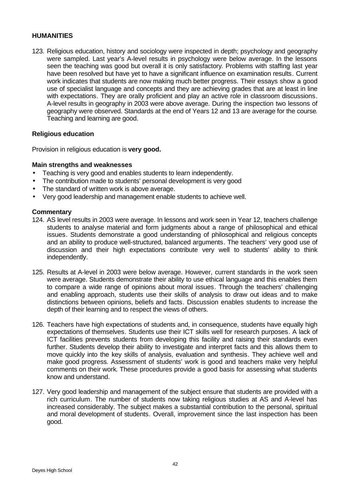#### **HUMANITIES**

123. Religious education, history and sociology were inspected in depth; psychology and geography were sampled. Last year's A-level results in psychology were below average. In the lessons seen the teaching was good but overall it is only satisfactory. Problems with staffing last year have been resolved but have yet to have a significant influence on examination results. Current work indicates that students are now making much better progress. Their essays show a good use of specialist language and concepts and they are achieving grades that are at least in line with expectations. They are orally proficient and play an active role in classroom discussions. A-level results in geography in 2003 were above average. During the inspection two lessons of geography were observed. Standards at the end of Years 12 and 13 are average for the course. Teaching and learning are good.

#### **Religious education**

Provision in religious education is **very good.**

#### **Main strengths and weaknesses**

- Teaching is very good and enables students to learn independently.
- The contribution made to students' personal development is very good
- The standard of written work is above average.
- Very good leadership and management enable students to achieve well.

- 124. AS level results in 2003 were average. In lessons and work seen in Year 12, teachers challenge students to analyse material and form judgments about a range of philosophical and ethical issues. Students demonstrate a good understanding of philosophical and religious concepts and an ability to produce well-structured, balanced arguments. The teachers' very good use of discussion and their high expectations contribute very well to students' ability to think independently.
- 125. Results at A-level in 2003 were below average. However, current standards in the work seen were average. Students demonstrate their ability to use ethical language and this enables them to compare a wide range of opinions about moral issues. Through the teachers' challenging and enabling approach, students use their skills of analysis to draw out ideas and to make distinctions between opinions, beliefs and facts. Discussion enables students to increase the depth of their learning and to respect the views of others.
- 126. Teachers have high expectations of students and, in consequence, students have equally high expectations of themselves. Students use their ICT skills well for research purposes. A lack of ICT facilities prevents students from developing this facility and raising their standards even further. Students develop their ability to investigate and interpret facts and this allows them to move quickly into the key skills of analysis, evaluation and synthesis. They achieve well and make good progress. Assessment of students' work is good and teachers make very helpful comments on their work. These procedures provide a good basis for assessing what students know and understand.
- 127. Very good leadership and management of the subject ensure that students are provided with a rich curriculum. The number of students now taking religious studies at AS and A-level has increased considerably. The subject makes a substantial contribution to the personal, spiritual and moral development of students. Overall, improvement since the last inspection has been good.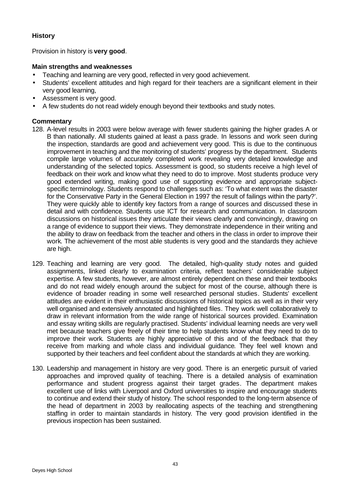# **History**

Provision in history is **very good**.

# **Main strengths and weaknesses**

- Teaching and learning are very good, reflected in very good achievement.
- Students' excellent attitudes and high regard for their teachers are a significant element in their very good learning,
- Assessment is very good.
- A few students do not read widely enough beyond their textbooks and study notes.

- 128. A-level results in 2003 were below average with fewer students gaining the higher grades A or B than nationally. All students gained at least a pass grade. In lessons and work seen during the inspection, standards are good and achievement very good. This is due to the continuous improvement in teaching and the monitoring of students' progress by the department. Students compile large volumes of accurately completed work revealing very detailed knowledge and understanding of the selected topics. Assessment is good, so students receive a high level of feedback on their work and know what they need to do to improve. Most students produce very good extended writing, making good use of supporting evidence and appropriate subjectspecific terminology. Students respond to challenges such as: 'To what extent was the disaster for the Conservative Party in the General Election in 1997 the result of failings within the party?'. They were quickly able to identify key factors from a range of sources and discussed these in detail and with confidence. Students use ICT for research and communication. In classroom discussions on historical issues they articulate their views clearly and convincingly, drawing on a range of evidence to support their views. They demonstrate independence in their writing and the ability to draw on feedback from the teacher and others in the class in order to improve their work. The achievement of the most able students is very good and the standards they achieve are high.
- 129. Teaching and learning are very good. The detailed, high-quality study notes and guided assignments, linked clearly to examination criteria, reflect teachers' considerable subject expertise. A few students, however, are almost entirely dependent on these and their textbooks and do not read widely enough around the subject for most of the course, although there is evidence of broader reading in some well researched personal studies. Students' excellent attitudes are evident in their enthusiastic discussions of historical topics as well as in their very well organised and extensively annotated and highlighted files. They work well collaboratively to draw in relevant information from the wide range of historical sources provided. Examination and essay writing skills are regularly practised. Students' individual learning needs are very well met because teachers give freely of their time to help students know what they need to do to improve their work. Students are highly appreciative of this and of the feedback that they receive from marking and whole class and individual guidance. They feel well known and supported by their teachers and feel confident about the standards at which they are working.
- 130. Leadership and management in history are very good. There is an energetic pursuit of varied approaches and improved quality of teaching. There is a detailed analysis of examination performance and student progress against their target grades. The department makes excellent use of links with Liverpool and Oxford universities to inspire and encourage students to continue and extend their study of history. The school responded to the long-term absence of the head of department in 2003 by reallocating aspects of the teaching and strengthening staffing in order to maintain standards in history. The very good provision identified in the previous inspection has been sustained.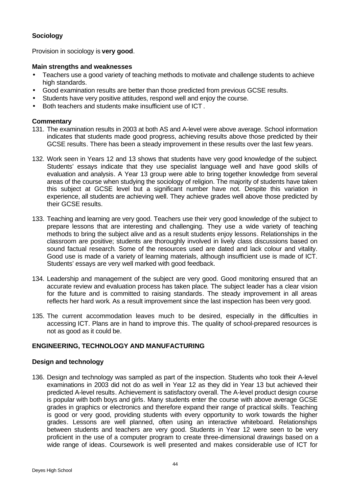# **Sociology**

Provision in sociology is **very good**.

# **Main strengths and weaknesses**

- Teachers use a good variety of teaching methods to motivate and challenge students to achieve high standards.
- Good examination results are better than those predicted from previous GCSE results.
- Students have very positive attitudes, respond well and enjoy the course.
- Both teachers and students make insufficient use of ICT .

# **Commentary**

- 131. The examination results in 2003 at both AS and A-level were above average. School information indicates that students made good progress, achieving results above those predicted by their GCSE results. There has been a steady improvement in these results over the last few years.
- 132. Work seen in Years 12 and 13 shows that students have very good knowledge of the subject. Students' essays indicate that they use specialist language well and have good skills of evaluation and analysis. A Year 13 group were able to bring together knowledge from several areas of the course when studying the sociology of religion. The majority of students have taken this subject at GCSE level but a significant number have not. Despite this variation in experience, all students are achieving well. They achieve grades well above those predicted by their GCSE results.
- 133. Teaching and learning are very good. Teachers use their very good knowledge of the subject to prepare lessons that are interesting and challenging. They use a wide variety of teaching methods to bring the subject alive and as a result students enjoy lessons. Relationships in the classroom are positive; students are thoroughly involved in lively class discussions based on sound factual research. Some of the resources used are dated and lack colour and vitality. Good use is made of a variety of learning materials, although insufficient use is made of ICT. Students' essays are very well marked with good feedback.
- 134. Leadership and management of the subject are very good. Good monitoring ensured that an accurate review and evaluation process has taken place. The subject leader has a clear vision for the future and is committed to raising standards. The steady improvement in all areas reflects her hard work. As a result improvement since the last inspection has been very good.
- 135. The current accommodation leaves much to be desired, especially in the difficulties in accessing ICT. Plans are in hand to improve this. The quality of school-prepared resources is not as good as it could be.

# **ENGINEERING, TECHNOLOGY AND MANUFACTURING**

#### **Design and technology**

136. Design and technology was sampled as part of the inspection. Students who took their A-level examinations in 2003 did not do as well in Year 12 as they did in Year 13 but achieved their predicted A-level results. Achievement is satisfactory overall. The A-level product design course is popular with both boys and girls. Many students enter the course with above average GCSE grades in graphics or electronics and therefore expand their range of practical skills. Teaching is good or very good, providing students with every opportunity to work towards the higher grades. Lessons are well planned, often using an interactive whiteboard. Relationships between students and teachers are very good. Students in Year 12 were seen to be very proficient in the use of a computer program to create three-dimensional drawings based on a wide range of ideas. Coursework is well presented and makes considerable use of ICT for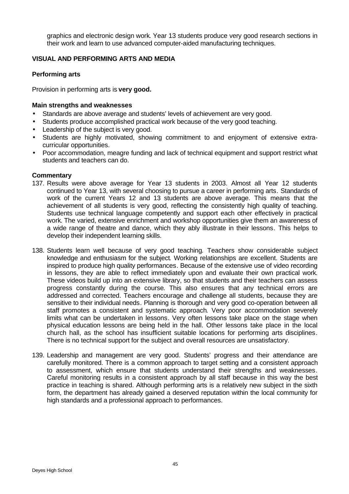graphics and electronic design work. Year 13 students produce very good research sections in their work and learn to use advanced computer-aided manufacturing techniques.

# **VISUAL AND PERFORMING ARTS AND MEDIA**

# **Performing arts**

Provision in performing arts is **very good.**

## **Main strengths and weaknesses**

- Standards are above average and students' levels of achievement are very good.
- Students produce accomplished practical work because of the very good teaching.
- Leadership of the subject is very good.
- Students are highly motivated, showing commitment to and enjoyment of extensive extracurricular opportunities.
- Poor accommodation, meagre funding and lack of technical equipment and support restrict what students and teachers can do.

- 137. Results were above average for Year 13 students in 2003. Almost all Year 12 students continued to Year 13, with several choosing to pursue a career in performing arts. Standards of work of the current Years 12 and 13 students are above average. This means that the achievement of all students is very good, reflecting the consistently high quality of teaching. Students use technical language competently and support each other effectively in practical work. The varied, extensive enrichment and workshop opportunities give them an awareness of a wide range of theatre and dance, which they ably illustrate in their lessons. This helps to develop their independent learning skills.
- 138. Students learn well because of very good teaching*.* Teachers show considerable subject knowledge and enthusiasm for the subject. Working relationships are excellent. Students are inspired to produce high quality performances. Because of the extensive use of video recording in lessons, they are able to reflect immediately upon and evaluate their own practical work. These videos build up into an extensive library, so that students and their teachers can assess progress constantly during the course. This also ensures that any technical errors are addressed and corrected. Teachers encourage and challenge all students, because they are sensitive to their individual needs. Planning is thorough and very good co-operation between all staff promotes a consistent and systematic approach. Very poor accommodation severely limits what can be undertaken in lessons. Very often lessons take place on the stage when physical education lessons are being held in the hall. Other lessons take place in the local church hall, as the school has insufficient suitable locations for performing arts disciplines. There is no technical support for the subject and overall resources are unsatisfactory.
- 139. Leadership and management are very good. Students' progress and their attendance are carefully monitored. There is a common approach to target setting and a consistent approach to assessment, which ensure that students understand their strengths and weaknesses. Careful monitoring results in a consistent approach by all staff because in this way the best practice in teaching is shared. Although performing arts is a relatively new subject in the sixth form, the department has already gained a deserved reputation within the local community for high standards and a professional approach to performances.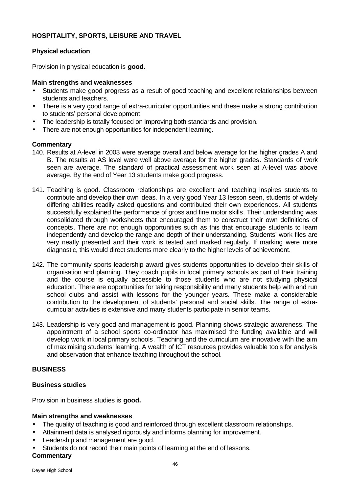# **HOSPITALITY, SPORTS, LEISURE AND TRAVEL**

#### **Physical education**

Provision in physical education is **good.**

#### **Main strengths and weaknesses**

- Students make good progress as a result of good teaching and excellent relationships between students and teachers.
- There is a very good range of extra-curricular opportunities and these make a strong contribution to students' personal development.
- The leadership is totally focused on improving both standards and provision.
- There are not enough opportunities for independent learning.

#### **Commentary**

- 140. Results at A-level in 2003 were average overall and below average for the higher grades A and B. The results at AS level were well above average for the higher grades. Standards of work seen are average. The standard of practical assessment work seen at A-level was above average. By the end of Year 13 students make good progress.
- 141. Teaching is good. Classroom relationships are excellent and teaching inspires students to contribute and develop their own ideas. In a very good Year 13 lesson seen, students of widely differing abilities readily asked questions and contributed their own experiences. All students successfully explained the performance of gross and fine motor skills. Their understanding was consolidated through worksheets that encouraged them to construct their own definitions of concepts. There are not enough opportunities such as this that encourage students to learn independently and develop the range and depth of their understanding. Students' work files are very neatly presented and their work is tested and marked regularly. If marking were more diagnostic, this would direct students more clearly to the higher levels of achievement.
- 142. The community sports leadership award gives students opportunities to develop their skills of organisation and planning. They coach pupils in local primary schools as part of their training and the course is equally accessible to those students who are not studying physical education. There are opportunities for taking responsibility and many students help with and run school clubs and assist with lessons for the younger years. These make a considerable contribution to the development of students' personal and social skills. The range of extracurricular activities is extensive and many students participate in senior teams.
- 143. Leadership is very good and management is good. Planning shows strategic awareness. The appointment of a school sports co-ordinator has maximised the funding available and will develop work in local primary schools. Teaching and the curriculum are innovative with the aim of maximising students' learning. A wealth of ICT resources provides valuable tools for analysis and observation that enhance teaching throughout the school.

#### **BUSINESS**

#### **Business studies**

Provision in business studies is **good.**

#### **Main strengths and weaknesses**

- The quality of teaching is good and reinforced through excellent classroom relationships.
- Attainment data is analysed rigorously and informs planning for improvement.
- Leadership and management are good.
- Students do not record their main points of learning at the end of lessons.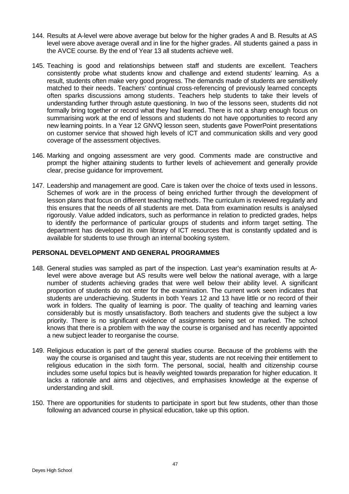- 144. Results at A-level were above average but below for the higher grades A and B. Results at AS level were above average overall and in line for the higher grades. All students gained a pass in the AVCE course. By the end of Year 13 all students achieve well.
- 145. Teaching is good and relationships between staff and students are excellent. Teachers consistently probe what students know and challenge and extend students' learning. As a result, students often make very good progress. The demands made of students are sensitively matched to their needs. Teachers' continual cross-referencing of previously learned concepts often sparks discussions among students. Teachers help students to take their levels of understanding further through astute questioning. In two of the lessons seen, students did not formally bring together or record what they had learned. There is not a sharp enough focus on summarising work at the end of lessons and students do not have opportunities to record any new learning points. In a Year 12 GNVQ lesson seen, students gave PowerPoint presentations on customer service that showed high levels of ICT and communication skills and very good coverage of the assessment objectives.
- 146. Marking and ongoing assessment are very good. Comments made are constructive and prompt the higher attaining students to further levels of achievement and generally provide clear, precise guidance for improvement.
- 147. Leadership and management are good. Care is taken over the choice of texts used in lessons. Schemes of work are in the process of being enriched further through the development of lesson plans that focus on different teaching methods. The curriculum is reviewed regularly and this ensures that the needs of all students are met. Data from examination results is analysed rigorously. Value added indicators, such as performance in relation to predicted grades, helps to identify the performance of particular groups of students and inform target setting. The department has developed its own library of ICT resources that is constantly updated and is available for students to use through an internal booking system.

#### **PERSONAL DEVELOPMENT AND GENERAL PROGRAMMES**

- 148. General studies was sampled as part of the inspection. Last year's examination results at Alevel were above average but AS results were well below the national average, with a large number of students achieving grades that were well below their ability level. A significant proportion of students do not enter for the examination. The current work seen indicates that students are underachieving. Students in both Years 12 and 13 have little or no record of their work in folders. The quality of learning is poor. The quality of teaching and learning varies considerably but is mostly unsatisfactory. Both teachers and students give the subject a low priority. There is no significant evidence of assignments being set or marked. The school knows that there is a problem with the way the course is organised and has recently appointed a new subject leader to reorganise the course.
- 149. Religious education is part of the general studies course. Because of the problems with the way the course is organised and taught this year, students are not receiving their entitlement to religious education in the sixth form. The personal, social, health and citizenship course includes some useful topics but is heavily weighted towards preparation for higher education. It lacks a rationale and aims and objectives, and emphasises knowledge at the expense of understanding and skill.
- 150. There are opportunities for students to participate in sport but few students, other than those following an advanced course in physical education, take up this option.